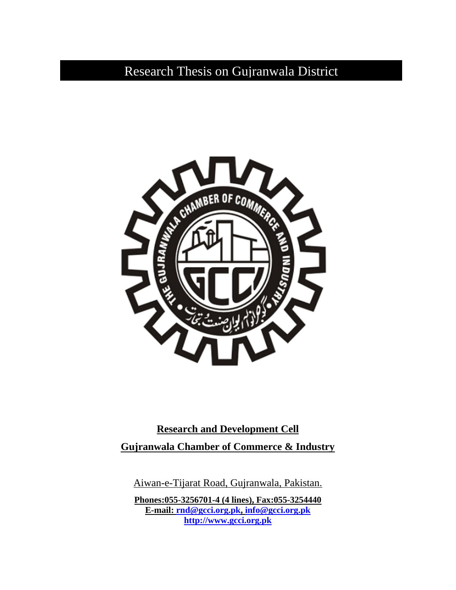Research Thesis on Gujranwala District



**Research and Development Cell Gujranwala Chamber of Commerce & Industry**

Aiwan-e-Tijarat Road, Gujranwala, Pakistan.

**Phones:055-3256701-4 (4 lines), Fax:055-3254440 E-mail: rnd@gcci.org.pk, info@gcci.org.pk http://www.gcci.org.pk**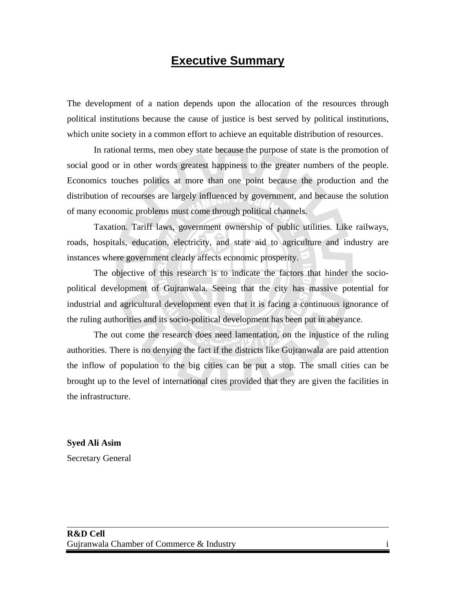#### **Executive Summary**

The development of a nation depends upon the allocation of the resources through political institutions because the cause of justice is best served by political institutions, which unite society in a common effort to achieve an equitable distribution of resources.

 In rational terms, men obey state because the purpose of state is the promotion of social good or in other words greatest happiness to the greater numbers of the people. Economics touches politics at more than one point because the production and the distribution of recourses are largely influenced by government, and because the solution of many economic problems must come through political channels.

Taxation. Tariff laws, government ownership of public utilities. Like railways, roads, hospitals, education, electricity, and state aid to agriculture and industry are instances where government clearly affects economic prosperity.

The objective of this research is to indicate the factors that hinder the sociopolitical development of Gujranwala. Seeing that the city has massive potential for industrial and agricultural development even that it is facing a continuous ignorance of the ruling authorities and its socio-political development has been put in abeyance.

The out come the research does need lamentation, on the injustice of the ruling authorities. There is no denying the fact if the districts like Gujranwala are paid attention the inflow of population to the big cities can be put a stop. The small cities can be brought up to the level of international cites provided that they are given the facilities in the infrastructure.

**Syed Ali Asim**  Secretary General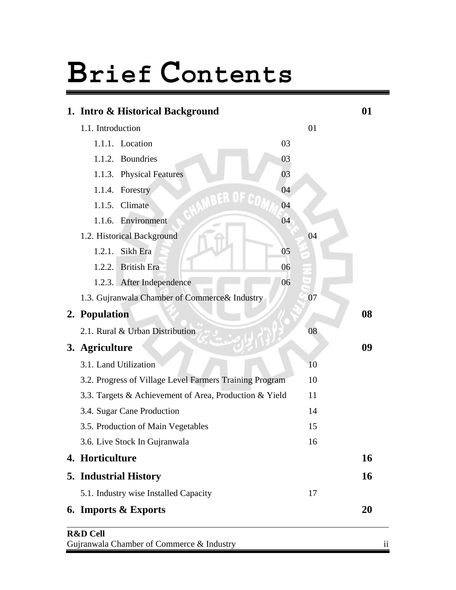# **Brief Contents**

| 1. Intro & Historical Background                        |    |    | 01        |
|---------------------------------------------------------|----|----|-----------|
| 1.1. Introduction                                       |    | 01 |           |
| 1.1.1. Location                                         | 03 |    |           |
| Boundries<br>1.1.2.                                     | 03 |    |           |
| 1.1.3. Physical Features                                | 03 |    |           |
| 1.1.4. Forestry                                         | 04 |    |           |
| <b>BER OF C</b><br>Climate<br>1.1.5.                    | 04 |    |           |
| 1.1.6. Environment                                      | 04 |    |           |
| 1.2. Historical Background                              |    | 04 |           |
| 1.2.1. Sikh Era                                         | 05 |    |           |
| <b>British Era</b><br>1.2.2.                            | 06 |    |           |
| 1.2.3. After Independence                               | 06 |    |           |
| 1.3. Gujranwala Chamber of Commerce& Industry           |    | 07 |           |
| 2. Population                                           |    |    | 08        |
| 2.1. Rural & Urban Distribution                         |    | 08 |           |
| 3. Agriculture                                          |    |    | 09        |
| 3.1. Land Utilization                                   |    | 10 |           |
| 3.2. Progress of Village Level Farmers Training Program |    | 10 |           |
| 3.3. Targets & Achievement of Area, Production & Yield  |    | 11 |           |
| 3.4. Sugar Cane Production                              |    | 14 |           |
| 3.5. Production of Main Vegetables                      |    | 15 |           |
| 3.6. Live Stock In Gujranwala                           |    | 16 |           |
| 4. Horticulture                                         |    |    | <b>16</b> |
| <b>5. Industrial History</b>                            |    |    | <b>16</b> |
| 5.1. Industry wise Installed Capacity                   |    | 17 |           |
| <b>6. Imports &amp; Exports</b>                         |    |    | 20        |

#### **R&D Cell**  Gujranwala Chamber of Commerce & Industry iii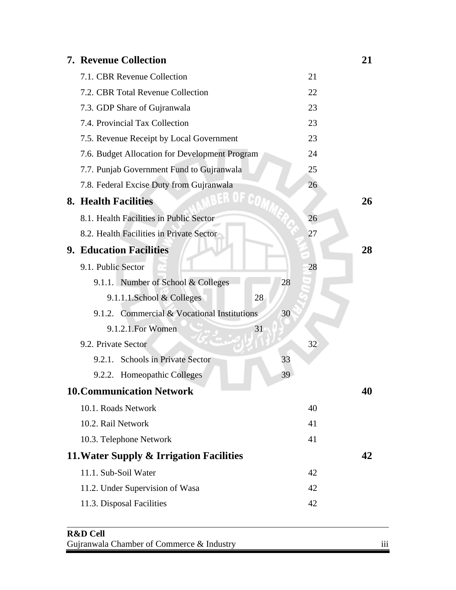| <b>7. Revenue Collection</b>                   |    |    | 21 |
|------------------------------------------------|----|----|----|
| 7.1. CBR Revenue Collection                    |    | 21 |    |
| 7.2. CBR Total Revenue Collection              |    | 22 |    |
| 7.3. GDP Share of Gujranwala                   |    | 23 |    |
| 7.4. Provincial Tax Collection                 |    | 23 |    |
| 7.5. Revenue Receipt by Local Government       |    | 23 |    |
| 7.6. Budget Allocation for Development Program |    | 24 |    |
| 7.7. Punjab Government Fund to Gujranwala      |    | 25 |    |
| 7.8. Federal Excise Duty from Gujranwala       |    | 26 |    |
| 8. Health Facilities                           |    |    | 26 |
| 8.1. Health Facilities in Public Sector        |    | 26 |    |
| 8.2. Health Facilities in Private Sector       |    | 27 |    |
| <b>9. Education Facilities</b>                 |    |    | 28 |
| 9.1. Public Sector                             |    | 28 |    |
| 9.1.1. Number of School & Colleges             | 28 |    |    |
| 28<br>9.1.1.1.School & Colleges                |    |    |    |
| 9.1.2. Commercial & Vocational Institutions    | 30 |    |    |
| 9.1.2.1. For Women<br>31                       |    |    |    |
| 9.2. Private Sector                            |    | 32 |    |
| <b>Schools in Private Sector</b><br>9.2.1.     | 33 |    |    |
| <b>Homeopathic Colleges</b><br>9.2.2.          | 39 |    |    |
| <b>10. Communication Network</b>               |    |    | 40 |
| 10.1. Roads Network                            |    | 40 |    |
| 10.2. Rail Network                             |    | 41 |    |
| 10.3. Telephone Network                        |    | 41 |    |
| 11. Water Supply & Irrigation Facilities       |    |    | 42 |
| 11.1. Sub-Soil Water                           |    | 42 |    |
| 11.2. Under Supervision of Wasa                |    | 42 |    |
| 11.3. Disposal Facilities                      |    | 42 |    |

#### **R&D Cell**  Gujranwala Chamber of Commerce & Industry iii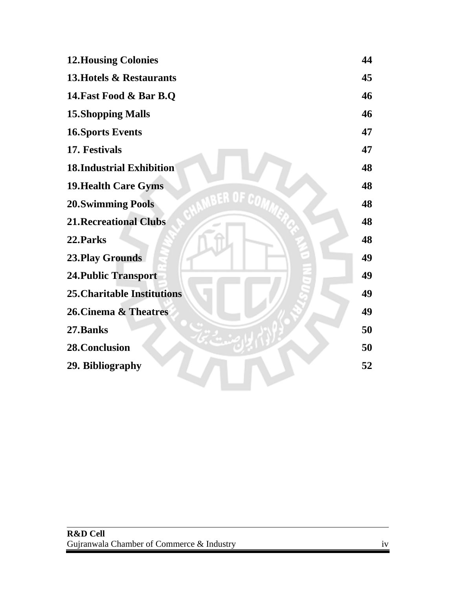| <b>12. Housing Colonies</b>        | 44 |
|------------------------------------|----|
| 13. Hotels & Restaurants           | 45 |
| 14. Fast Food & Bar B.Q            | 46 |
| <b>15. Shopping Malls</b>          | 46 |
| <b>16. Sports Events</b>           | 47 |
| 17. Festivals                      | 47 |
| <b>18.Industrial Exhibition</b>    | 48 |
| <b>19. Health Care Gyms</b>        | 48 |
| <b>20. Swimming Pools</b>          | 48 |
| <b>21. Recreational Clubs</b>      | 48 |
| 22. Parks                          | 48 |
| <b>23. Play Grounds</b>            | 49 |
| <b>24. Public Transport</b>        | 49 |
| <b>25. Charitable Institutions</b> | 49 |
| 26. Cinema & Theatres              | 49 |
| 27.Banks                           | 50 |
| 28. Conclusion                     | 50 |
| 29. Bibliography                   | 52 |
|                                    |    |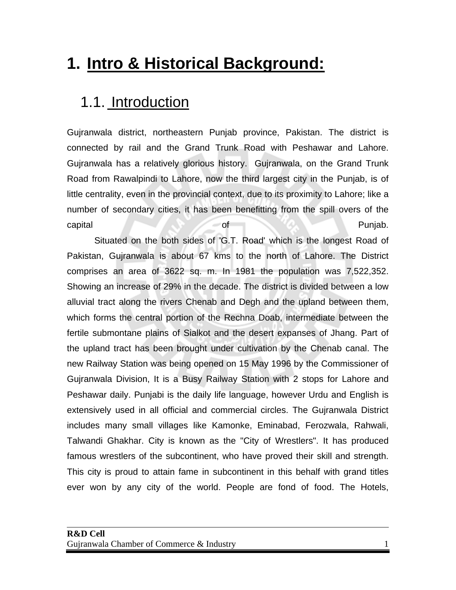### **1. Intro & Historical Background:**

#### 1.1. Introduction

Gujranwala district, northeastern Punjab province, Pakistan. The district is connected by rail and the Grand Trunk Road with Peshawar and Lahore. Gujranwala has a relatively glorious history. Gujranwala, on the Grand Trunk Road from Rawalpindi to Lahore, now the third largest city in the Punjab, is of little centrality, even in the provincial context, due to its proximity to Lahore; like a number of secondary cities, it has been benefitting from the spill overs of the capital Punjab.

 Situated on the both sides of 'G.T. Road' which is the longest Road of Pakistan, Gujranwala is about 67 kms to the north of Lahore. The District comprises an area of 3622 sq. m. In 1981 the population was 7,522,352. Showing an increase of 29% in the decade. The district is divided between a low alluvial tract along the rivers Chenab and Degh and the upland between them, which forms the central portion of the Rechna Doab, intermediate between the fertile submontane plains of Sialkot and the desert expanses of Jhang. Part of the upland tract has been brought under cultivation by the Chenab canal. The new Railway Station was being opened on 15 May 1996 by the Commissioner of Gujranwala Division, It is a Busy Railway Station with 2 stops for Lahore and Peshawar daily. Punjabi is the daily life language, however Urdu and English is extensively used in all official and commercial circles. The Gujranwala District includes many small villages like Kamonke, Eminabad, Ferozwala, Rahwali, Talwandi Ghakhar. City is known as the "City of Wrestlers". It has produced famous wrestlers of the subcontinent, who have proved their skill and strength. This city is proud to attain fame in subcontinent in this behalf with grand titles ever won by any city of the world. People are fond of food. The Hotels,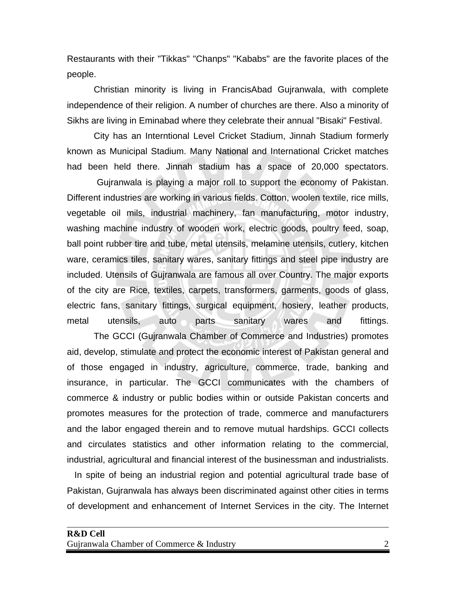Restaurants with their "Tikkas" "Chanps" "Kababs" are the favorite places of the people.

Christian minority is living in FrancisAbad Gujranwala, with complete independence of their religion. A number of churches are there. Also a minority of Sikhs are living in Eminabad where they celebrate their annual "Bisaki" Festival.

City has an Interntional Level Cricket Stadium, Jinnah Stadium formerly known as Municipal Stadium. Many National and International Cricket matches had been held there. Jinnah stadium has a space of 20,000 spectators.

 Gujranwala is playing a major roll to support the economy of Pakistan. Different industries are working in various fields. Cotton, woolen textile, rice mills, vegetable oil mils, industrial machinery, fan manufacturing, motor industry, washing machine industry of wooden work, electric goods, poultry feed, soap, ball point rubber tire and tube, metal utensils, melamine utensils, cutlery, kitchen ware, ceramics tiles, sanitary wares, sanitary fittings and steel pipe industry are included. Utensils of Gujranwala are famous all over Country. The major exports of the city are Rice, textiles, carpets, transformers, garments, goods of glass, electric fans, sanitary fittings, surgical equipment, hosiery, leather products, metal utensils, auto parts sanitary wares and fittings.

 The GCCI (Gujranwala Chamber of Commerce and Industries) promotes aid, develop, stimulate and protect the economic interest of Pakistan general and of those engaged in industry, agriculture, commerce, trade, banking and insurance, in particular. The GCCI communicates with the chambers of commerce & industry or public bodies within or outside Pakistan concerts and promotes measures for the protection of trade, commerce and manufacturers and the labor engaged therein and to remove mutual hardships. GCCI collects and circulates statistics and other information relating to the commercial, industrial, agricultural and financial interest of the businessman and industrialists.

 In spite of being an industrial region and potential agricultural trade base of Pakistan, Gujranwala has always been discriminated against other cities in terms of development and enhancement of Internet Services in the city. The Internet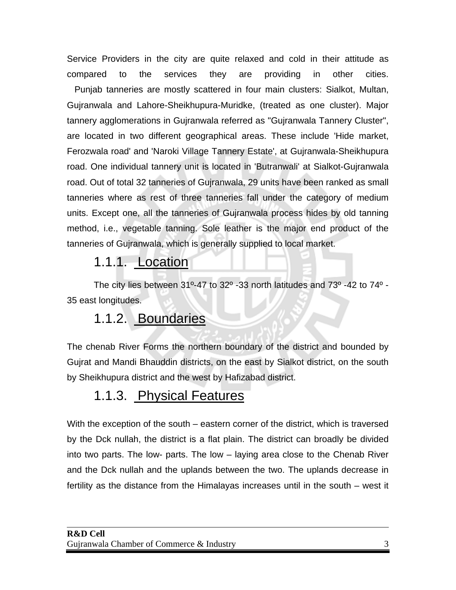Service Providers in the city are quite relaxed and cold in their attitude as compared to the services they are providing in other cities. Punjab tanneries are mostly scattered in four main clusters: Sialkot, Multan, Gujranwala and Lahore-Sheikhupura-Muridke, (treated as one cluster). Major tannery agglomerations in Gujranwala referred as "Gujranwala Tannery Cluster", are located in two different geographical areas. These include 'Hide market, Ferozwala road' and 'Naroki Village Tannery Estate', at Gujranwala-Sheikhupura road. One individual tannery unit is located in 'Butranwali' at Sialkot-Gujranwala road. Out of total 32 tanneries of Gujranwala, 29 units have been ranked as small tanneries where as rest of three tanneries fall under the category of medium units. Except one, all the tanneries of Gujranwala process hides by old tanning method, i.e., vegetable tanning. Sole leather is the major end product of the tanneries of Gujranwala, which is generally supplied to local market.

#### 1.1.1. Location

The city lies between 31º-47 to 32º -33 north latitudes and 73º -42 to 74º - 35 east longitudes.

#### 1.1.2. Boundaries

The chenab River Forms the northern boundary of the district and bounded by Gujrat and Mandi Bhauddin districts, on the east by Sialkot district, on the south by Sheikhupura district and the west by Hafizabad district.

#### 1.1.3. Physical Features

With the exception of the south – eastern corner of the district, which is traversed by the Dck nullah, the district is a flat plain. The district can broadly be divided into two parts. The low- parts. The low – laying area close to the Chenab River and the Dck nullah and the uplands between the two. The uplands decrease in fertility as the distance from the Himalayas increases until in the south – west it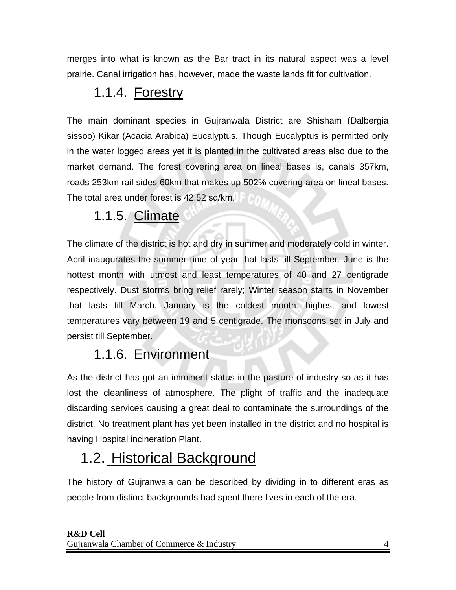merges into what is known as the Bar tract in its natural aspect was a level prairie. Canal irrigation has, however, made the waste lands fit for cultivation.

#### 1.1.4. Forestry

The main dominant species in Gujranwala District are Shisham (Dalbergia sissoo) Kikar (Acacia Arabica) Eucalyptus. Though Eucalyptus is permitted only in the water logged areas yet it is planted in the cultivated areas also due to the market demand. The forest covering area on lineal bases is, canals 357km, roads 253km rail sides 60km that makes up 502% covering area on lineal bases. The total area under forest is 42.52 sq/km.

#### 1.1.5. Climate

The climate of the district is hot and dry in summer and moderately cold in winter. April inaugurates the summer time of year that lasts till September. June is the hottest month with utmost and least temperatures of 40 and 27 centigrade respectively. Dust storms bring relief rarely; Winter season starts in November that lasts till March. January is the coldest month. highest and lowest temperatures vary between 19 and 5 centigrade. The monsoons set in July and persist till September.

#### 1.1.6. Environment

As the district has got an imminent status in the pasture of industry so as it has lost the cleanliness of atmosphere. The plight of traffic and the inadequate discarding services causing a great deal to contaminate the surroundings of the district. No treatment plant has yet been installed in the district and no hospital is having Hospital incineration Plant.

#### 1.2. Historical Background

The history of Gujranwala can be described by dividing in to different eras as people from distinct backgrounds had spent there lives in each of the era.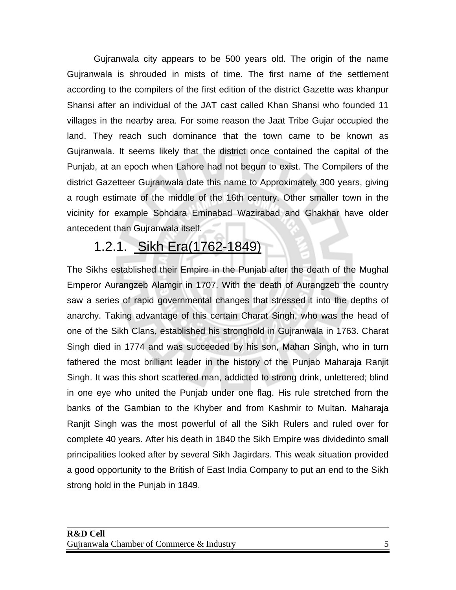Gujranwala city appears to be 500 years old. The origin of the name Gujranwala is shrouded in mists of time. The first name of the settlement according to the compilers of the first edition of the district Gazette was khanpur Shansi after an individual of the JAT cast called Khan Shansi who founded 11 villages in the nearby area. For some reason the Jaat Tribe Gujar occupied the land. They reach such dominance that the town came to be known as Gujranwala. It seems likely that the district once contained the capital of the Punjab, at an epoch when Lahore had not begun to exist. The Compilers of the district Gazetteer Gujranwala date this name to Approximately 300 years, giving a rough estimate of the middle of the 16th century. Other smaller town in the vicinity for example Sohdara Eminabad Wazirabad and Ghakhar have older antecedent than Gujranwala itself.

#### 1.2.1. Sikh Era(1762-1849)

The Sikhs established their Empire in the Punjab after the death of the Mughal Emperor Aurangzeb Alamgir in 1707. With the death of Aurangzeb the country saw a series of rapid governmental changes that stressed it into the depths of anarchy. Taking advantage of this certain Charat Singh, who was the head of one of the Sikh Clans, established his stronghold in Gujranwala in 1763. Charat Singh died in 1774 and was succeeded by his son, Mahan Singh, who in turn fathered the most brilliant leader in the history of the Punjab Maharaja Ranjit Singh. It was this short scattered man, addicted to strong drink, unlettered; blind in one eye who united the Punjab under one flag. His rule stretched from the banks of the Gambian to the Khyber and from Kashmir to Multan. Maharaja Ranjit Singh was the most powerful of all the Sikh Rulers and ruled over for complete 40 years. After his death in 1840 the Sikh Empire was dividedinto small principalities looked after by several Sikh Jagirdars. This weak situation provided a good opportunity to the British of East India Company to put an end to the Sikh strong hold in the Punjab in 1849.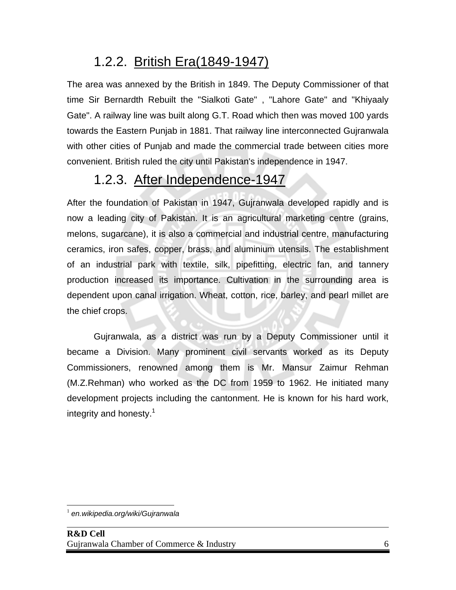#### 1.2.2. British Era(1849-1947)

The area was annexed by the British in 1849. The Deputy Commissioner of that time Sir Bernardth Rebuilt the "Sialkoti Gate" , "Lahore Gate" and "Khiyaaly Gate". A railway line was built along G.T. Road which then was moved 100 yards towards the Eastern Punjab in 1881. That railway line interconnected Gujranwala with other cities of Punjab and made the commercial trade between cities more convenient. British ruled the city until Pakistan's independence in 1947.

#### 1.2.3. After Independence-1947

After the foundation of Pakistan in 1947, Gujranwala developed rapidly and is now a leading city of Pakistan. It is an agricultural marketing centre (grains, melons, sugarcane), it is also a commercial and industrial centre, manufacturing ceramics, iron safes, copper, brass, and aluminium utensils. The establishment of an industrial park with textile, silk, pipefitting, electric fan, and tannery production increased its importance. Cultivation in the surrounding area is dependent upon canal irrigation. Wheat, cotton, rice, barley, and pearl millet are the chief crops.

Gujranwala, as a district was run by a Deputy Commissioner until it became a Division. Many prominent civil servants worked as its Deputy Commissioners, renowned among them is Mr. Mansur Zaimur Rehman (M.Z.Rehman) who worked as the DC from 1959 to 1962. He initiated many development projects including the cantonment. He is known for his hard work, integrity and honesty. $1$ 

 $\overline{a}$ <sup>1</sup> *en.wikipedia.org/wiki/Gujranwala*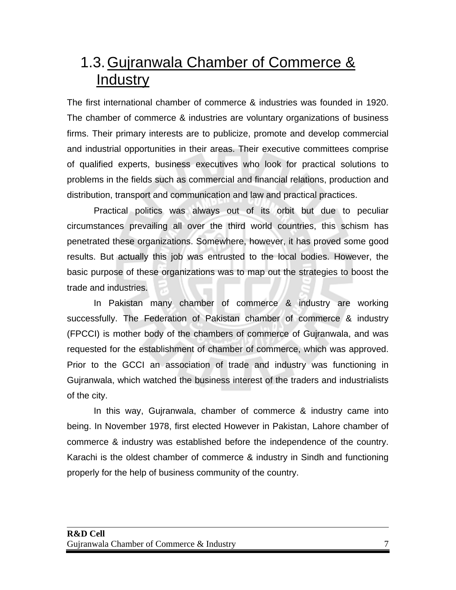#### 1.3. Gujranwala Chamber of Commerce & **Industry**

The first international chamber of commerce & industries was founded in 1920. The chamber of commerce & industries are voluntary organizations of business firms. Their primary interests are to publicize, promote and develop commercial and industrial opportunities in their areas. Their executive committees comprise of qualified experts, business executives who look for practical solutions to problems in the fields such as commercial and financial relations, production and distribution, transport and communication and law and practical practices.

Practical politics was always out of its orbit but due to peculiar circumstances prevailing all over the third world countries, this schism has penetrated these organizations. Somewhere, however, it has proved some good results. But actually this job was entrusted to the local bodies. However, the basic purpose of these organizations was to map out the strategies to boost the trade and industries.

In Pakistan many chamber of commerce & industry are working successfully. The Federation of Pakistan chamber of commerce & industry (FPCCI) is mother body of the chambers of commerce of Gujranwala, and was requested for the establishment of chamber of commerce, which was approved. Prior to the GCCI an association of trade and industry was functioning in Gujranwala, which watched the business interest of the traders and industrialists of the city.

In this way, Gujranwala, chamber of commerce & industry came into being. In November 1978, first elected However in Pakistan, Lahore chamber of commerce & industry was established before the independence of the country. Karachi is the oldest chamber of commerce & industry in Sindh and functioning properly for the help of business community of the country.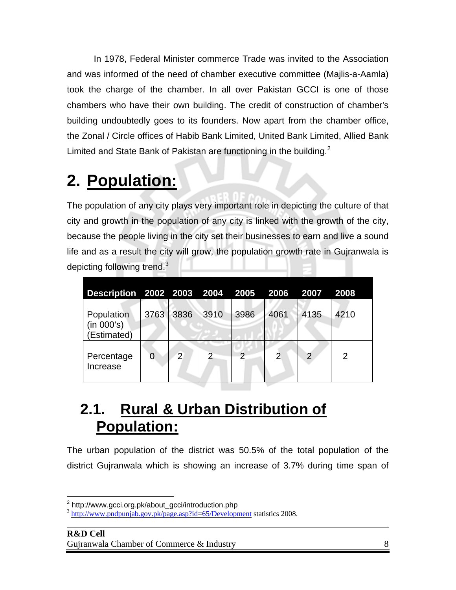In 1978, Federal Minister commerce Trade was invited to the Association and was informed of the need of chamber executive committee (Majlis-a-Aamla) took the charge of the chamber. In all over Pakistan GCCI is one of those chambers who have their own building. The credit of construction of chamber's building undoubtedly goes to its founders. Now apart from the chamber office, the Zonal / Circle offices of Habib Bank Limited, United Bank Limited, Allied Bank Limited and State Bank of Pakistan are functioning in the building. $<sup>2</sup>$ </sup>

### **2. Population:**

The population of any city plays very important role in depicting the culture of that city and growth in the population of any city is linked with the growth of the city, because the people living in the city set their businesses to earn and live a sound life and as a result the city will grow, the population growth rate in Gujranwala is depicting following trend.<sup>3</sup>

| Description 2002 2003 2004 2005 2006 2007 |                |                |      |      |                |      | 2008 |
|-------------------------------------------|----------------|----------------|------|------|----------------|------|------|
| Population<br>(in 000's)<br>(Estimated)   | 3763           | 3836           | 3910 | 3986 | 4061           | 4135 | 4210 |
| Percentage<br>Increase                    | $\overline{0}$ | $\overline{2}$ | 2    | っ    | $\overline{2}$ | 2    | 2    |

#### **2.1. Rural & Urban Distribution of Population:**

The urban population of the district was 50.5% of the total population of the district Gujranwala which is showing an increase of 3.7% during time span of

 2 http://www.gcci.org.pk/about\_gcci/introduction.php

<sup>3</sup> http://www.pndpunjab.gov.pk/page.asp?id=65/Development statistics 2008.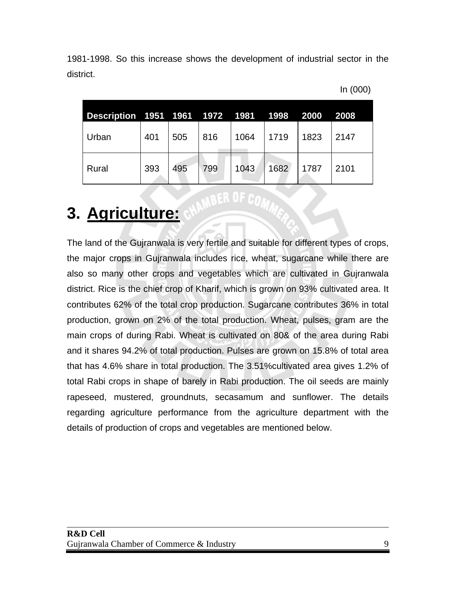1981-1998. So this increase shows the development of industrial sector in the district.

| In (000) |  |  |  |
|----------|--|--|--|
|----------|--|--|--|

| Description 1951 1961 1972 1981 1998 |     |     |     |      |      | 2000 | 2008 |
|--------------------------------------|-----|-----|-----|------|------|------|------|
| Urban                                | 401 | 505 | 816 | 1064 | 1719 | 1823 | 2147 |
| Rural                                | 393 | 495 | 799 | 1043 | 1682 | 1787 | 2101 |

#### **3. Agriculture:**

The land of the Gujranwala is very fertile and suitable for different types of crops, the major crops in Gujranwala includes rice, wheat, sugarcane while there are also so many other crops and vegetables which are cultivated in Gujranwala district. Rice is the chief crop of Kharif, which is grown on 93% cultivated area. It contributes 62% of the total crop production. Sugarcane contributes 36% in total production, grown on 2% of the total production. Wheat, pulses, gram are the main crops of during Rabi. Wheat is cultivated on 80& of the area during Rabi and it shares 94.2% of total production. Pulses are grown on 15.8% of total area that has 4.6% share in total production. The 3.51%cultivated area gives 1.2% of total Rabi crops in shape of barely in Rabi production. The oil seeds are mainly rapeseed, mustered, groundnuts, secasamum and sunflower. The details regarding agriculture performance from the agriculture department with the details of production of crops and vegetables are mentioned below.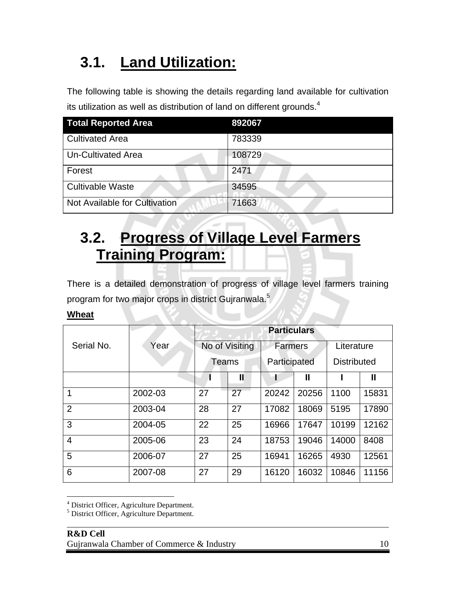### **3.1. Land Utilization:**

The following table is showing the details regarding land available for cultivation its utilization as well as distribution of land on different grounds.<sup>4</sup>

| <b>Total Reported Area</b>    | 892067 |
|-------------------------------|--------|
| <b>Cultivated Area</b>        | 783339 |
| <b>Un-Cultivated Area</b>     | 108729 |
| Forest                        | 2471   |
| <b>Cultivable Waste</b>       | 34595  |
| Not Available for Cultivation | 71663  |

#### **3.2. Progress of Village Level Farmers Training Program:**

There is a detailed demonstration of progress of village level farmers training program for two major crops in district Gujranwala.<sup>5</sup>

#### **Wheat**

 $\overline{a}$ 

|                |         | <b>Particulars</b> |    |                |       |                    |       |
|----------------|---------|--------------------|----|----------------|-------|--------------------|-------|
| Serial No.     | Year    | No of Visiting     |    | <b>Farmers</b> |       | Literature         |       |
|                |         | Teams              |    | Participated   |       | <b>Distributed</b> |       |
|                |         |                    | Ш  |                | Ш     |                    | Ш     |
| 1              | 2002-03 | 27                 | 27 | 20242          | 20256 | 1100               | 15831 |
| $\overline{2}$ | 2003-04 | 28                 | 27 | 17082          | 18069 | 5195               | 17890 |
| 3              | 2004-05 | 22                 | 25 | 16966          | 17647 | 10199              | 12162 |
| $\overline{4}$ | 2005-06 | 23                 | 24 | 18753          | 19046 | 14000              | 8408  |
| 5              | 2006-07 | 27                 | 25 | 16941          | 16265 | 4930               | 12561 |
| 6              | 2007-08 | 27                 | 29 | 16120          | 16032 | 10846              | 11156 |

<sup>4</sup> District Officer, Agriculture Department.

<sup>5</sup> District Officer, Agriculture Department.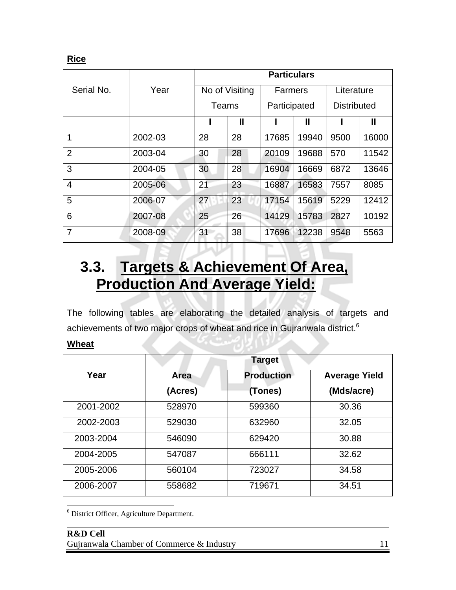**Rice**

|                |         | <b>Particulars</b> |                |                |              |                    |       |
|----------------|---------|--------------------|----------------|----------------|--------------|--------------------|-------|
| Serial No.     | Year    |                    | No of Visiting | <b>Farmers</b> |              | Literature         |       |
|                |         | Teams              |                | Participated   |              | <b>Distributed</b> |       |
|                |         |                    | $\mathbf l$    |                | $\mathbf{I}$ |                    | Ш     |
| 1              | 2002-03 | 28                 | 28             | 17685          | 19940        | 9500               | 16000 |
| $\overline{2}$ | 2003-04 | 30                 | 28             | 20109          | 19688        | 570                | 11542 |
| 3              | 2004-05 | 30                 | 28             | 16904          | 16669        | 6872               | 13646 |
| $\overline{4}$ | 2005-06 | 21                 | 23             | 16887          | 16583        | 7557               | 8085  |
| 5              | 2006-07 | 27                 | 23             | 17154          | 15619        | 5229               | 12412 |
| 6              | 2007-08 | 25                 | 26             | 14129          | 15783        | 2827               | 10192 |
| 7              | 2008-09 | 31                 | 38             | 17696          | 12238        | 9548               | 5563  |

#### **3.3. Targets & Achievement Of Area, Production And Average Yield:**

The following tables are elaborating the detailed analysis of targets and achievements of two major crops of wheat and rice in Gujranwala district.<sup>6</sup>

| ۷h<br>. . |  |
|-----------|--|
|           |  |

 $\overline{a}$ 

|           | <b>Target</b> |                   |                      |  |  |  |  |
|-----------|---------------|-------------------|----------------------|--|--|--|--|
| Year      | Area          | <b>Production</b> | <b>Average Yield</b> |  |  |  |  |
|           | (Acres)       | (Tones)           | (Mds/acre)           |  |  |  |  |
| 2001-2002 | 528970        | 599360            | 30.36                |  |  |  |  |
| 2002-2003 | 529030        | 632960            | 32.05                |  |  |  |  |
| 2003-2004 | 546090        | 629420            | 30.88                |  |  |  |  |
| 2004-2005 | 547087        | 666111            | 32.62                |  |  |  |  |
| 2005-2006 | 560104        | 723027            | 34.58                |  |  |  |  |
| 2006-2007 | 558682        | 719671            | 34.51                |  |  |  |  |

 $\overline{a}$ 6 District Officer, Agriculture Department.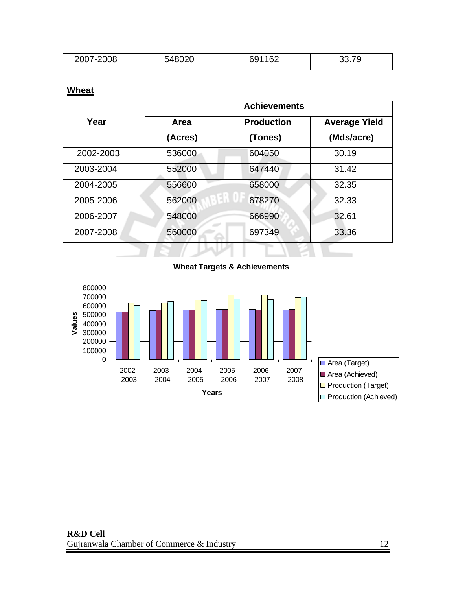| 2007-2008 | E 1000C<br>740UZU | 691162 | $-$<br>, J<br>JJ.IJ |
|-----------|-------------------|--------|---------------------|
|           |                   |        |                     |

#### **Wheat**

|           |         | <b>Achievements</b> |                      |  |
|-----------|---------|---------------------|----------------------|--|
| Year      | Area    | <b>Production</b>   | <b>Average Yield</b> |  |
|           | (Acres) | (Tones)             | (Mds/acre)           |  |
| 2002-2003 | 536000  | 604050              | 30.19                |  |
| 2003-2004 | 552000  | 647440              | 31.42                |  |
| 2004-2005 | 556600  | 658000              | 32.35                |  |
| 2005-2006 | 562000  | 678270              | 32.33                |  |
| 2006-2007 | 548000  | 666990              | 32.61                |  |
| 2007-2008 | 560000  | 697349              | 33.36                |  |

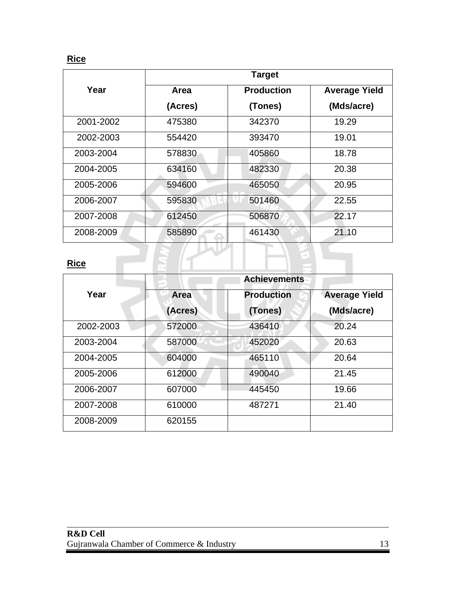#### **Rice**

|             |         | <b>Target</b>     |                      |
|-------------|---------|-------------------|----------------------|
| Year        | Area    | <b>Production</b> | <b>Average Yield</b> |
|             | (Acres) | (Tones)           | (Mds/acre)           |
| 2001-2002   | 475380  | 342370            | 19.29                |
| 2002-2003   | 554420  | 393470            | 19.01                |
| 2003-2004   | 578830  | 405860            | 18.78                |
| 2004-2005   | 634160  | 482330            | 20.38                |
| 2005-2006   | 594600  | 465050            | 20.95                |
| 2006-2007   | 595830  | 501460            | 22.55                |
| 2007-2008   | 612450  | 506870            | 22.17                |
| 2008-2009   | 585890  | 461430            | 21.10                |
|             |         |                   |                      |
| <b>Rice</b> |         |                   |                      |

#### **Rice**

|           |         | <b>Achievements</b> |                      |
|-----------|---------|---------------------|----------------------|
| Year      | Area    | <b>Production</b>   | <b>Average Yield</b> |
|           | (Acres) | (Tones)             | (Mds/acre)           |
| 2002-2003 | 572000  | 436410              | 20.24                |
| 2003-2004 | 587000  | 452020              | 20.63                |
| 2004-2005 | 604000  | 465110              | 20.64                |
| 2005-2006 | 612000  | 490040              | 21.45                |
| 2006-2007 | 607000  | 445450              | 19.66                |
| 2007-2008 | 610000  | 487271              | 21.40                |
| 2008-2009 | 620155  |                     |                      |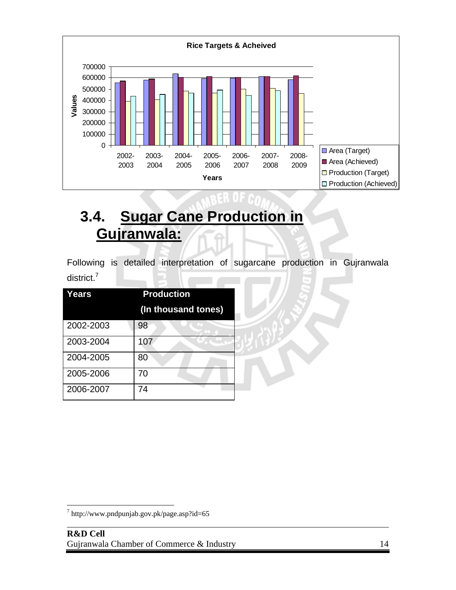

#### **3.4. Sugar Cane Production in Gujranwala:**

Following is detailed interpretation of sugarcane production in Gujranwala district.<sup>7</sup>

| Years     | <b>Production</b>   |
|-----------|---------------------|
|           | (In thousand tones) |
| 2002-2003 | 98                  |
| 2003-2004 | 107                 |
| 2004-2005 | 80                  |
| 2005-2006 | 70                  |
| 2006-2007 | 74                  |

l

 $^7$  http://www.pndpunjab.gov.pk/page.asp?id=65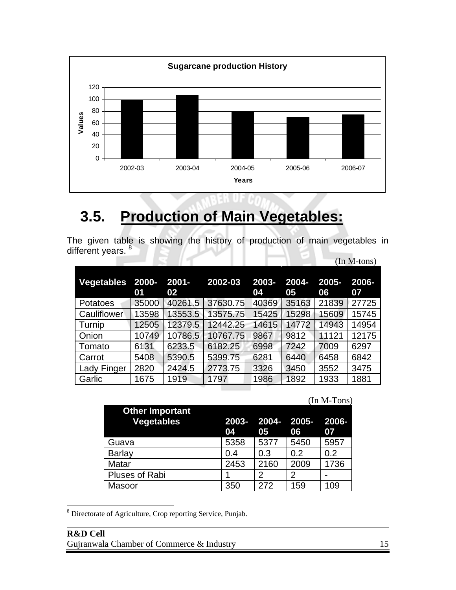

#### **3.5. Production of Main Vegetables:**

The given table is showing the history of production of main vegetables in different years. <sup>8</sup>

|                 |             |                |          |             |             |             | $(In M-tons)$ |
|-----------------|-------------|----------------|----------|-------------|-------------|-------------|---------------|
| Vegetables      | 2000-<br>01 | $2001 -$<br>02 | 2002-03  | 2003-<br>04 | 2004-<br>05 | 2005-<br>06 | 2006-<br>07   |
| <b>Potatoes</b> | 35000       | 40261.5        | 37630.75 | 40369       | 35163       | 21839       | 27725         |
| Cauliflower     | 13598       | 13553.5        | 13575.75 | 15425       | 15298       | 15609       | 15745         |
| Turnip          | 12505       | 12379.5        | 12442.25 | 14615       | 14772       | 14943       | 14954         |
| Onion           | 10749       | 10786.5        | 10767.75 | 9867        | 9812        | 11121       | 12175         |
| Tomato          | 6131        | 6233.5         | 6182.25  | 6998        | 7242        | 7009        | 6297          |
| Carrot          | 5408        | 5390.5         | 5399.75  | 6281        | 6440        | 6458        | 6842          |
| Lady Finger     | 2820        | 2424.5         | 2773.75  | 3326        | 3450        | 3552        | 3475          |
| Garlic          | 1675        | 1919           | 1797     | 1986        | 1892        | 1933        | 1881          |

|                                             |     |      |                            |      | $(In M-Tons)$ |
|---------------------------------------------|-----|------|----------------------------|------|---------------|
| <b>Other Important</b><br><b>Vegetables</b> | 04  | 05   | 2003-2004-2005-2006-<br>06 |      | 07            |
| Guava                                       |     | 5358 | 5377                       | 5450 | 5957          |
| <b>Barlay</b>                               | 0.4 |      | 0.3<br>0.2                 |      | 0.2           |
| Matar                                       |     | 2453 | 2160                       | 2009 | 1736          |
| Pluses of Rabi                              |     | 2    | 2                          |      |               |
| Masoor                                      | 350 |      | 272                        | 159  | 109           |

<sup>8</sup> Directorate of Agriculture, Crop reporting Service, Punjab.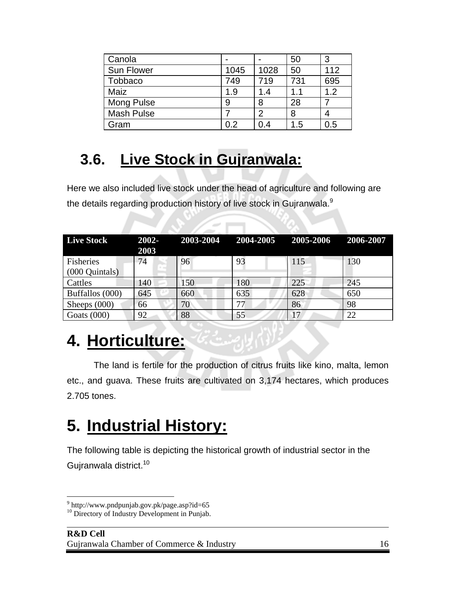| Canola            |      |      | 50  | 3   |
|-------------------|------|------|-----|-----|
| <b>Sun Flower</b> | 1045 | 1028 | 50  | 112 |
| <b>Tobbaco</b>    | 749  | 719  | 731 | 695 |
| Maiz              | 1.9  | 1.4  | 1.1 | 1.2 |
| Mong Pulse        | 9    | 8    | 28  |     |
| <b>Mash Pulse</b> |      | 2    | 8   |     |
| Gram              | 0.2  | 0.4  | 1.5 | 0.5 |

#### **3.6. Live Stock in Gujranwala:**

Here we also included live stock under the head of agriculture and following are the details regarding production history of live stock in Gujranwala.<sup>9</sup>

| <b>Live Stock</b>           | $2002 -$<br>2003 |     | 2003-2004 2004-2005 2005-2006 |     | 2006-2007 |
|-----------------------------|------------------|-----|-------------------------------|-----|-----------|
| Fisheries<br>(000 Quintals) | 74               | 96  | 93                            | 115 | 130       |
| Cattles                     | 140              | 150 | 180                           | 225 | 245       |
| Buffallos (000)             | 645              | 660 | 635                           | 628 | 650       |
| Sheeps $(000)$              | 66               | 70  | 77                            | 86  | 98        |
| Goats $(000)$               | 92               | 88  | 55                            | 17  | 22        |

### **4. Horticulture:**

The land is fertile for the production of citrus fruits like kino, malta, lemon etc., and guava. These fruits are cultivated on 3,174 hectares, which produces 2.705 tones.

### **5. Industrial History:**

The following table is depicting the historical growth of industrial sector in the Gujranwala district.<sup>10</sup>

1

<sup>&</sup>lt;sup>9</sup> http://www.pndpunjab.gov.pk/page.asp?id=65

l <sup>10</sup> Directory of Industry Development in Punjab.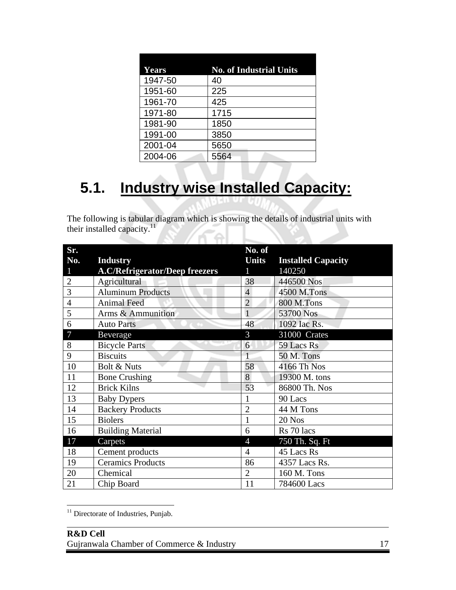| <b>Years</b> | <b>No. of Industrial Units</b> |
|--------------|--------------------------------|
| 1947-50      | 40                             |
| 1951-60      | 225                            |
| 1961-70      | 425                            |
| 1971-80      | 1715                           |
| 1981-90      | 1850                           |
| 1991-00      | 3850                           |
| 2001-04      | 5650                           |
| 2004-06      | 5564                           |

#### **5.1. Industry wise Installed Capacity:**

The following is tabular diagram which is showing the details of industrial units with their installed capacity. $11$ 

| Sr.            |                                       | No. of         |                           |
|----------------|---------------------------------------|----------------|---------------------------|
| No.            | <b>Industry</b>                       | <b>Units</b>   | <b>Installed Capacity</b> |
| 1              | <b>A.C/Refrigerator/Deep freezers</b> | 1              | 140250                    |
| $\overline{2}$ | Agricultural                          | 38             | 446500 Nos                |
| 3              | <b>Aluminum Products</b>              | $\overline{4}$ | 4500 M.Tons               |
| $\overline{4}$ | <b>Animal Feed</b>                    | $\overline{2}$ | <b>800 M.Tons</b>         |
| 5              | Arms & Ammunition                     | 1              | 53700 Nos                 |
| 6              | <b>Auto Parts</b>                     | 48             | 1092 Iac Rs.              |
| 7              | Beverage                              | 3              | 31000 Crates              |
| 8              | <b>Bicycle Parts</b>                  | 6              | 59 Lacs Rs                |
| 9              | <b>Biscuits</b>                       | $\mathbf{1}$   | 50 M. Tons                |
| 10             | Bolt & Nuts                           | 58             | 4166 Th Nos               |
| 11             | <b>Bone Crushing</b>                  | 8              | 19300 M. tons             |
| 12             | <b>Brick Kilns</b>                    | 53             | 86800 Th. Nos             |
| 13             | <b>Baby Dypers</b>                    | 1              | 90 Lacs                   |
| 14             | <b>Backery Products</b>               | $\overline{2}$ | 44 M Tons                 |
| 15             | <b>Biolers</b>                        |                | 20 Nos                    |
| 16             | <b>Building Material</b>              | 6              | Rs 70 lacs                |
| 17             | Carpets                               | $\overline{4}$ | 750 Th. Sq. Ft            |
| 18             | Cement products                       | $\overline{4}$ | 45 Lacs Rs                |
| 19             | <b>Ceramics Products</b>              | 86             | 4357 Lacs Rs.             |
| 20             | Chemical                              | $\overline{2}$ | 160 M. Tons               |
| 21             | Chip Board                            | 11             | 784600 Lacs               |

<sup>&</sup>lt;sup>11</sup> Directorate of Industries, Punjab.

l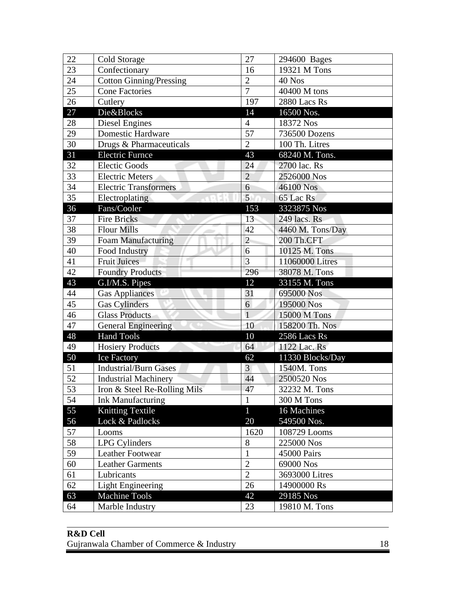| 22 | Cold Storage                   | 27             | 294600 Bages     |
|----|--------------------------------|----------------|------------------|
| 23 | Confectionary                  | 16             | 19321 M Tons     |
| 24 | <b>Cotton Ginning/Pressing</b> | $\overline{2}$ | 40 Nos           |
| 25 | <b>Cone Factories</b>          | $\overline{7}$ | 40400 M tons     |
| 26 | Cutlery                        | 197            | 2880 Lacs Rs     |
| 27 | Die&Blocks                     | 14             | 16500 Nos.       |
| 28 | Diesel Engines                 | $\overline{4}$ | 18372 Nos        |
| 29 | <b>Domestic Hardware</b>       | 57             | 736500 Dozens    |
| 30 | Drugs & Pharmaceuticals        | $\overline{2}$ | 100 Th. Litres   |
| 31 | <b>Electric Furnce</b>         | 43             | 68240 M. Tons.   |
| 32 | <b>Electic Goods</b>           | 24             | 2700 lac. Rs     |
| 33 | <b>Electric Meters</b>         | $\overline{2}$ | 2526000 Nos      |
| 34 | <b>Electric Transformers</b>   | 6              | 46100 Nos        |
| 35 | Electroplating                 | 5 <sup>1</sup> | 65 Lac Rs        |
| 36 | Fans/Cooler                    | 153            | 3323875 Nos      |
| 37 | <b>Fire Bricks</b>             | 13             | 249 lacs. Rs     |
| 38 | <b>Flour Mills</b>             | 42             | 4460 M. Tons/Day |
| 39 | <b>Foam Manufacturing</b>      | $\overline{2}$ | 200 Th.CFT       |
| 40 | Food Industry                  | 6              | 10125 M. Tons    |
| 41 | <b>Fruit Juices</b>            | $\overline{3}$ | 11060000 Litres  |
| 42 | <b>Foundry Products</b>        | 296            | 38078 M. Tons    |
| 43 | G.I/M.S. Pipes                 | 12             | 33155 M. Tons    |
| 44 | <b>Gas Appliances</b>          | 31             | 695000 Nos       |
| 45 | <b>Gas Cylinders</b>           | 6              | 195000 Nos       |
| 46 | <b>Glass Products</b>          | $\overline{1}$ | 15000 M Tons     |
| 47 | <b>General Engineering</b>     | 10             | 158200 Th. Nos   |
| 48 | <b>Hand Tools</b>              | 10             | 2586 Lacs Rs     |
| 49 | <b>Hosiery Products</b>        | 64             | 1122 Lac. Rs     |
| 50 | <b>Ice Factory</b>             | 62             | 11330 Blocks/Day |
| 51 | <b>Industrial/Burn Gases</b>   | $\overline{3}$ | 1540M. Tons      |
| 52 | <b>Industrial Machinery</b>    | 44             | 2500520 Nos      |
| 53 | Iron & Steel Re-Rolling Mils   | 47             | 32232 M. Tons    |
| 54 | <b>Ink Manufacturing</b>       | $\mathbf{1}$   | 300 M Tons       |
| 55 | Knitting Textile               | $\overline{1}$ | 16 Machines      |
| 56 | Lock & Padlocks                | 20             | 549500 Nos.      |
| 57 | Looms                          | 1620           | 108729 Looms     |
| 58 | <b>LPG Cylinders</b>           | $8\,$          | 225000 Nos       |
| 59 | Leather Footwear               | 1              | 45000 Pairs      |
| 60 | <b>Leather Garments</b>        | $\overline{2}$ | 69000 Nos        |
| 61 | Lubricants                     | $\overline{2}$ | 3693000 Litres   |
| 62 | <b>Light Engineering</b>       | 26             | 14900000 Rs      |
| 63 | <b>Machine Tools</b>           | 42             | 29185 Nos        |
| 64 | Marble Industry                | 23             | 19810 M. Tons    |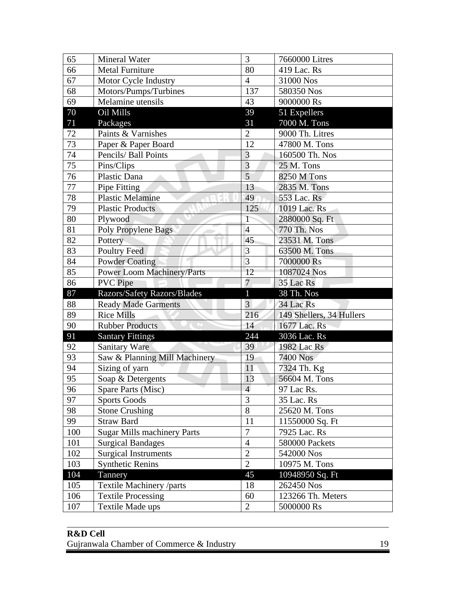| 65      | <b>Mineral Water</b>               | 3              | 7660000 Litres           |
|---------|------------------------------------|----------------|--------------------------|
| 66      | <b>Metal Furniture</b>             | 80             | 419 Lac. Rs              |
| 67      | Motor Cycle Industry               | $\overline{4}$ | 31000 Nos                |
| 68      | Motors/Pumps/Turbines              | 137            | 580350 Nos               |
| 69      | Melamine utensils                  | 43             | 9000000 Rs               |
| 70      | Oil Mills                          | 39             | 51 Expellers             |
| 71      | Packages                           | 31             | 7000 M. Tons             |
| 72      | Paints & Varnishes                 | $\overline{2}$ | 9000 Th. Litres          |
| 73      | Paper & Paper Board                | 12             | 47800 M. Tons            |
| 74      | Pencils/ Ball Points               | $\overline{3}$ | 160500 Th. Nos           |
| 75      | Pins/Clips                         | 3              | 25 M. Tons               |
| 76      | Plastic Dana                       | $\overline{5}$ | 8250 M Tons              |
| $77 \,$ | Pipe Fitting                       | 13             | 2835 M. Tons             |
| 78      | <b>Plastic Melamine</b>            | 49             | 553 Lac. Rs              |
| 79      | <b>Plastic Products</b>            | 125            | 1019 Lac. Rs             |
| 80      | Plywood                            | $\overline{1}$ | 2880000 Sq. Ft           |
| 81      | Poly Propylene Bags                | $\overline{4}$ | 770 Th. Nos              |
| 82      | Pottery                            | 45             | 23531 M. Tons            |
| 83      | <b>Poultry Feed</b>                | 3              | 63500 M. Tons            |
| 84      | <b>Powder Coating</b>              | $\overline{3}$ | 7000000 Rs               |
| 85      | <b>Power Loom Machinery/Parts</b>  | 12             | 1087024 Nos              |
| 86      | <b>PVC</b> Pipe                    | $\overline{7}$ | 35 Lac Rs                |
|         |                                    |                |                          |
| 87      | Razors/Safety Razors/Blades        | $\mathbf{1}$   | 38 Th. Nos               |
| 88      | <b>Ready Made Garments</b>         | 3              | 34 Lac Rs                |
| 89      | <b>Rice Mills</b>                  | 216            | 149 Shellers, 34 Hullers |
| 90      | <b>Rubber Products</b>             | 14             | 1677 Lac. Rs             |
| 91      | <b>Santary Fittings</b>            | 244            | 3036 Lac. Rs             |
| 92      | <b>Sanitary Ware</b>               | 39             | 1982 Lac Rs              |
| 93      | Saw & Planning Mill Machinery      | 19             | 7400 Nos                 |
| 94      | Sizing of yarn                     | 11             | 7324 Th. Kg              |
| 95      | Soap & Detergents                  | 13             | 56604 M. Tons            |
| 96      | Spare Parts (Misc)                 | $\overline{4}$ | 97 Lac Rs.               |
| 97      | <b>Sports Goods</b>                | 3              | 35 Lac. Rs               |
| 98      | <b>Stone Crushing</b>              | 8              | 25620 M. Tons            |
| 99      | <b>Straw Bard</b>                  | 11             | 11550000 Sq. Ft          |
| 100     | <b>Sugar Mills machinery Parts</b> | $\overline{7}$ | 7925 Lac. Rs             |
| 101     | <b>Surgical Bandages</b>           | $\overline{4}$ | 580000 Packets           |
| 102     | <b>Surgical Instruments</b>        | $\overline{2}$ | 542000 Nos               |
| 103     | <b>Synthetic Renins</b>            | $\overline{2}$ | 10975 M. Tons            |
| 104     | Tannery                            | 45             | 10948950 Sq. Ft          |
| 105     | Textile Machinery /parts           | 18             | 262450 Nos               |
| 106     | <b>Textile Processing</b>          | 60             | 123266 Th. Meters        |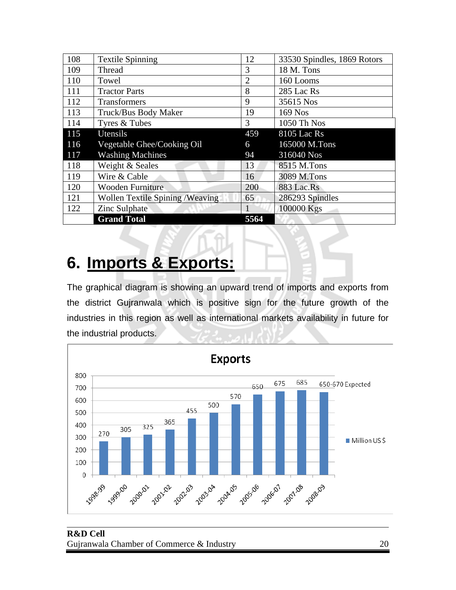| 108 | <b>Textile Spinning</b>                 | 12   | 33530 Spindles, 1869 Rotors |
|-----|-----------------------------------------|------|-----------------------------|
| 109 | <b>Thread</b>                           | 3    | 18 M. Tons                  |
| 110 | Towel                                   | 2    | 160 Looms                   |
| 111 | <b>Tractor Parts</b>                    | 8    | 285 Lac Rs                  |
| 112 | Transformers                            | 9    | 35615 Nos                   |
| 113 | Truck/Bus Body Maker                    | 19   | 169 Nos                     |
| 114 | Tyres & Tubes                           | 3    | 1050 Th Nos                 |
| 115 | Utensils                                | 459  | 8105 Lac Rs                 |
| 116 | Vegetable Ghee/Cooking Oil              | 6    | 165000 M.Tons               |
| 117 | <b>Washing Machines</b>                 | 94   | 316040 Nos                  |
| 118 | Weight & Seales                         | 13   | 8515 M.Tons                 |
| 119 | Wire & Cable                            | 16   | 3089 M.Tons                 |
| 120 | <b>Wooden Furniture</b>                 | 200  | 883 Lac.Rs                  |
| 121 | <b>Wollen Textile Spining / Weaving</b> | 65   | 286293 Spindles             |
| 122 | Zinc Sulphate                           |      | 100000 Kgs                  |
|     | <b>Grand Total</b>                      | 5564 |                             |

#### **6. Imports & Exports:**

The graphical diagram is showing an upward trend of imports and exports from the district Gujranwala which is positive sign for the future growth of the industries in this region as well as international markets availability in future for the industrial products.

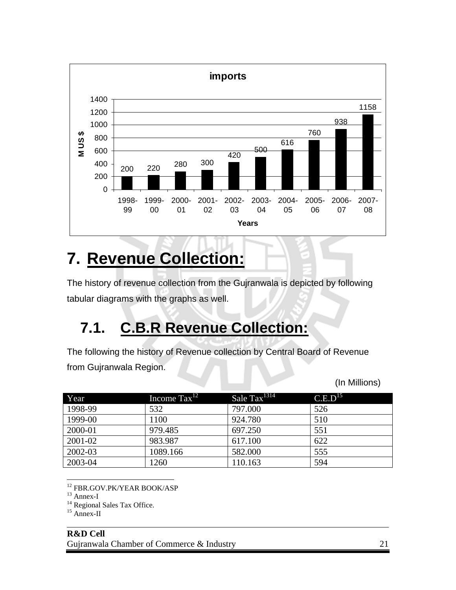

### **7. Revenue Collection:**

The history of revenue collection from the Gujranwala is depicted by following tabular diagrams with the graphs as well.

#### **7.1. C.B.R Revenue Collection:**

The following the history of Revenue collection by Central Board of Revenue from Gujranwala Region.

| Year    | Income $\text{Tax}^{12}$ | Sale Tax <sup>1314</sup> | C.E.D <sup>15</sup> |  |
|---------|--------------------------|--------------------------|---------------------|--|
| 1998-99 | 532                      | 797.000                  | 526                 |  |
| 1999-00 | 1100                     | 924.780                  | 510                 |  |
| 2000-01 | 979.485                  | 697.250                  | 551                 |  |
| 2001-02 | 983.987                  | 617.100                  | 622                 |  |
| 2002-03 | 1089.166                 | 582.000                  | 555                 |  |
| 2003-04 | 1260                     | 110.163                  | 594                 |  |

 $\overline{a}$ 12 FBR.GOV.PK/YEAR BOOK/ASP

<sup>14</sup> Regional Sales Tax Office.

```
<sup>15</sup> Annex-II
```
l

(In Millions)

<sup>13</sup> Annex-I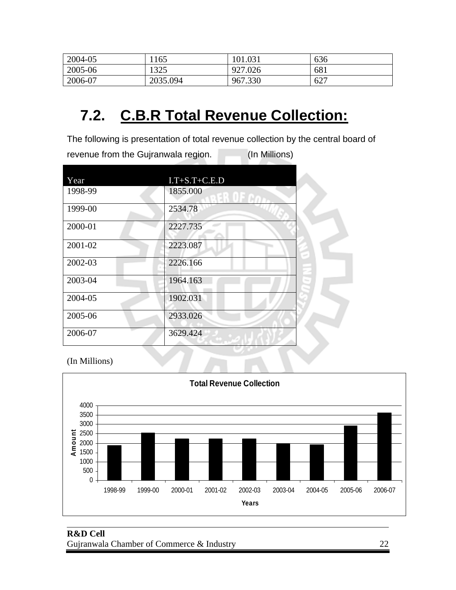| 2004-05 | 1165     | 101.031 | 636 |
|---------|----------|---------|-----|
| 2005-06 | 1325     | 927.026 | 681 |
| 2006-07 | 2035.094 | 967.330 | 627 |

#### **7.2. C.B.R Total Revenue Collection:**

The following is presentation of total revenue collection by the central board of revenue from the Gujranwala region. (In Millions)

| Year    | $I.T+S.T+C.E.D$      |  |
|---------|----------------------|--|
| 1998-99 | 1855.000<br>FR OF CA |  |
| 1999-00 | 2534.78              |  |
| 2000-01 | 2227.735             |  |
| 2001-02 | 2223.087             |  |
| 2002-03 | 2226.166             |  |
| 2003-04 | 1964.163             |  |
| 2004-05 | 1902.031             |  |
| 2005-06 | 2933.026             |  |
| 2006-07 | 3629.424             |  |

(In Millions)

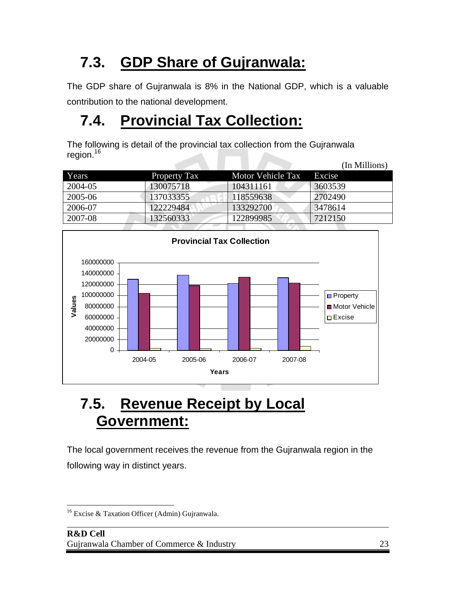#### **7.3. GDP Share of Gujranwala:**

The GDP share of Gujranwala is 8% in the National GDP, which is a valuable contribution to the national development.

#### **7.4. Provincial Tax Collection:**

The following is detail of the provincial tax collection from the Gujranwala region.<sup>16</sup>

|         |                     |                   | (In Millions) |
|---------|---------------------|-------------------|---------------|
| Years   | <b>Property Tax</b> | Motor Vehicle Tax | Excise        |
| 2004-05 | 130075718           | 104311161         | 3603539       |
| 2005-06 | 137033355           | 118559638         | 2702490       |
| 2006-07 | 122229484           | 133292700         | 3478614       |
| 2007-08 | 132560333           | 122899985         | 7212150       |



#### **7.5. Revenue Receipt by Local Government:**

The local government receives the revenue from the Gujranwala region in the following way in distinct years.

 $\overline{a}$ <sup>16</sup> Excise & Taxation Officer (Admin) Gujranwala.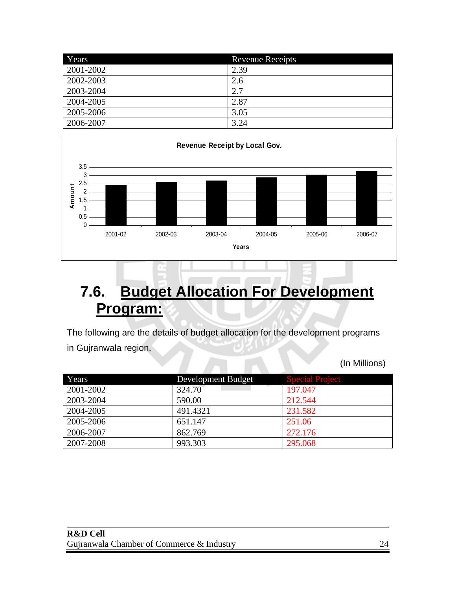| Years     | <b>Revenue Receipts</b> |
|-----------|-------------------------|
| 2001-2002 | 2.39                    |
| 2002-2003 | 2.6                     |
| 2003-2004 | 2.7                     |
| 2004-2005 | 2.87                    |
| 2005-2006 | 3.05                    |
| 2006-2007 | 3.24                    |



#### **7.6. Budget Allocation For Development Program:**

The following are the details of budget allocation for the development programs in Gujranwala region.

(In Millions)

| Years     | Development Budget | <b>Special Project</b> |
|-----------|--------------------|------------------------|
| 2001-2002 | 324.70             | 197.047                |
| 2003-2004 | 590.00             | 212.544                |
| 2004-2005 | 491.4321           | 231.582                |
| 2005-2006 | 651.147            | 251.06                 |
| 2006-2007 | 862.769            | 272.176                |
| 2007-2008 | 993.303            | 295.068                |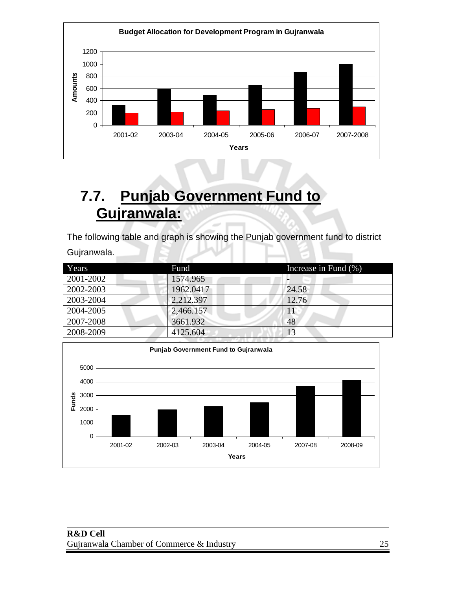

#### **7.7. Punjab Government Fund to Gujranwala:**

The following table and graph is showing the Punjab government fund to district Gujranwala.

| Years     | Fund      | Increase in Fund (%) |
|-----------|-----------|----------------------|
| 2001-2002 | 1574.965  |                      |
| 2002-2003 | 1962.0417 | 24.58                |
| 2003-2004 | 2,212.397 | 12.76                |
| 2004-2005 | 2,466.157 | 11                   |
| 2007-2008 | 3661.932  | 48                   |
| 2008-2009 | 4125.604  |                      |

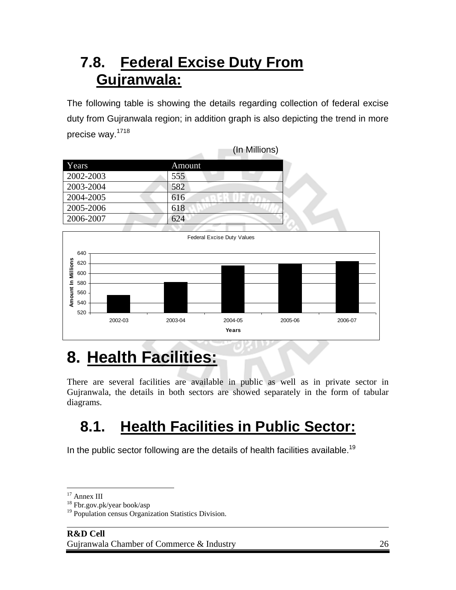#### **7.8. Federal Excise Duty From Gujranwala:**

The following table is showing the details regarding collection of federal excise duty from Gujranwala region; in addition graph is also depicting the trend in more precise way.<sup>1718</sup>

|           |        | (In Millions) |
|-----------|--------|---------------|
| Years     | Amount |               |
| 2002-2003 | 555    |               |
| 2003-2004 | 582    |               |
| 2004-2005 | 616    |               |
| 2005-2006 | 618    |               |
| 2006-2007 | 624    |               |



### **8. Health Facilities:**

There are several facilities are available in public as well as in private sector in Gujranwala, the details in both sectors are showed separately in the form of tabular diagrams.

#### **8.1. Health Facilities in Public Sector:**

In the public sector following are the details of health facilities available.<sup>19</sup>

 $\overline{a}$ <sup>17</sup> Annex III

<sup>18</sup> Fbr.gov.pk/year book/asp

<sup>&</sup>lt;sup>19</sup> Population census Organization Statistics Division.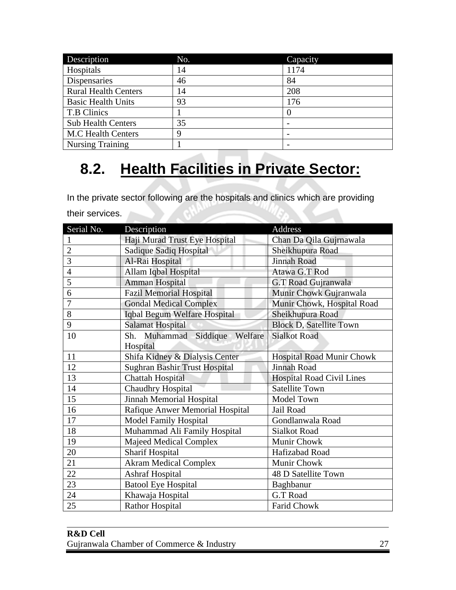| Description                 | No. | Capacity |
|-----------------------------|-----|----------|
| Hospitals                   | 14  | 1174     |
| Dispensaries                | 46  | 84       |
| <b>Rural Health Centers</b> | 14  | 208      |
| <b>Basic Health Units</b>   | 93  | 176      |
| T.B Clinics                 |     |          |
| <b>Sub Health Centers</b>   | 35  |          |
| <b>M.C Health Centers</b>   | 9   |          |
| <b>Nursing Training</b>     |     |          |

#### **8.2. Health Facilities in Private Sector:**

In the private sector following are the hospitals and clinics which are providing their services.

| Serial No.     | Description                      | Address                          |
|----------------|----------------------------------|----------------------------------|
| 1              | Haji Murad Trust Eye Hospital    | Chan Da Qila Gujrnawala          |
| $\overline{2}$ | Sadique Sadiq Hospital           | Sheikhupura Road                 |
| 3              | Al-Rai Hospital                  | <b>Jinnah Road</b>               |
| $\overline{4}$ | Allam Iqbal Hospital             | Atawa G.T Rod                    |
| 5              | Amman Hospital                   | G.T Road Gujranwala              |
| 6              | <b>Fazil Memorial Hospital</b>   | Munir Chowk Gujranwala           |
| $\overline{7}$ | <b>Gondal Medical Complex</b>    | Munir Chowk, Hospital Road       |
| 8              | Iqbal Begum Welfare Hospital     | Sheikhupura Road                 |
| 9              | <b>Salamat Hospital</b>          | <b>Block D, Satellite Town</b>   |
| 10             | Sh. Muhammad Siddique<br>Welfare | <b>Sialkot Road</b>              |
|                | Hospital                         |                                  |
| 11             | Shifa Kidney & Dialysis Center   | <b>Hospital Road Munir Chowk</b> |
| 12             | Sughran Bashir Trust Hospital    | Jinnah Road                      |
| 13             | <b>Chattah Hospital</b>          | Hospital Road Civil Lines        |
| 14             | <b>Chaudhry Hospital</b>         | <b>Satellite Town</b>            |
| 15             | Jinnah Memorial Hospital         | Model Town                       |
| 16             | Rafique Anwer Memorial Hospital  | Jail Road                        |
| 17             | <b>Model Family Hospital</b>     | Gondlanwala Road                 |
| 18             | Muhammad Ali Family Hospital     | <b>Sialkot Road</b>              |
| 19             | Majeed Medical Complex           | Munir Chowk                      |
| 20             | <b>Sharif Hospital</b>           | Hafizabad Road                   |
| 21             | <b>Akram Medical Complex</b>     | Munir Chowk                      |
| 22             | Ashraf Hospital                  | 48 D Satellite Town              |
| 23             | <b>Batool Eye Hospital</b>       | Baghbanur                        |
| 24             | Khawaja Hospital                 | G.T Road                         |
| 25             | <b>Rathor Hospital</b>           | <b>Farid Chowk</b>               |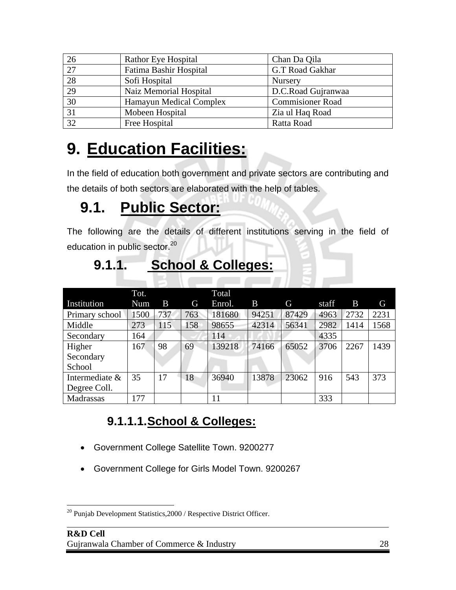| 26              | <b>Rathor Eye Hospital</b>     | Chan Da Qila            |
|-----------------|--------------------------------|-------------------------|
| $\overline{27}$ | Fatima Bashir Hospital         | G.T Road Gakhar         |
| $\overline{28}$ | Sofi Hospital                  | Nursery                 |
| 29              | Naiz Memorial Hospital         | D.C.Road Gujranwaa      |
| 30              | <b>Hamayun Medical Complex</b> | <b>Commisioner Road</b> |
| 31              | Mobeen Hospital                | Zia ul Haq Road         |
| $\overline{32}$ | Free Hospital                  | Ratta Road              |

### **9. Education Facilities:**

In the field of education both government and private sectors are contributing and the details of both sectors are elaborated with the help of tables.

#### **9.1. Public Sector:**

The following are the details of different institutions serving in the field of education in public sector.<sup>20</sup>

|                | Tot. |     |     | <b>Total</b> |       |       |       |      |      |
|----------------|------|-----|-----|--------------|-------|-------|-------|------|------|
| Institution    | Num  | B   | G   | Enrol.       | B     | G     | staff | B    | G    |
| Primary school | 1500 | 737 | 763 | 181680       | 94251 | 87429 | 4963  | 2732 | 2231 |
| Middle         | 273  | 115 | 158 | 98655        | 42314 | 56341 | 2982  | 1414 | 1568 |
| Secondary      | 164  |     |     | 114          |       |       | 4335  |      |      |
| Higher         | 167  | 98  | 69  | 139218       | 74166 | 65052 | 3706  | 2267 | 1439 |
| Secondary      |      |     |     |              |       |       |       |      |      |
| School         |      |     |     |              |       |       |       |      |      |
| Intermediate & | 35   | 17  | 18  | 36940        | 13878 | 23062 | 916   | 543  | 373  |
| Degree Coll.   |      |     |     |              |       |       |       |      |      |
| Madrassas      | 177  |     |     | 11           |       |       | 333   |      |      |

#### **9.1.1.1. School & Colleges:**

**9.1.1. School & Colleges:**

- Government College Satellite Town. 9200277
- Government College for Girls Model Town. 9200267

 $\overline{a}$  $20$  Punjab Development Statistics,  $2000$  / Respective District Officer.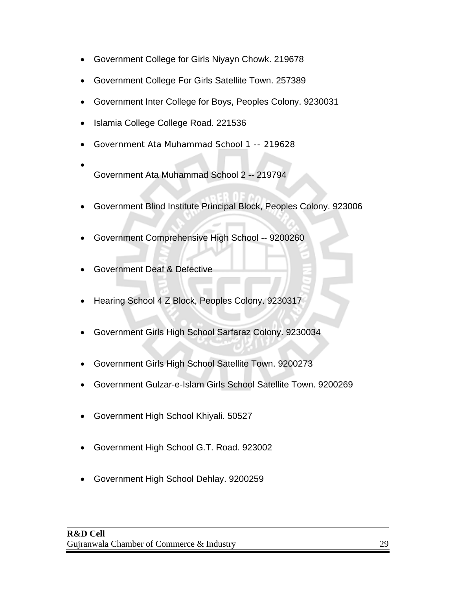- Government College for Girls Niyayn Chowk. 219678
- Government College For Girls Satellite Town. 257389
- Government Inter College for Boys, Peoples Colony. 9230031
- Islamia College College Road. 221536
- Government Ata Muhammad School 1 -- 219628
- Government Ata Muhammad School 2 -- 219794
- Government Blind Institute Principal Block, Peoples Colony. 923006
- Government Comprehensive High School -- 9200260
- Government Deaf & Defective
- Hearing School 4 Z Block, Peoples Colony. 9230317
- Government Girls High School Sarfaraz Colony. 9230034
- Government Girls High School Satellite Town. 9200273
- Government Gulzar-e-Islam Girls School Satellite Town. 9200269
- Government High School Khiyali. 50527
- Government High School G.T. Road. 923002
- Government High School Dehlay. 9200259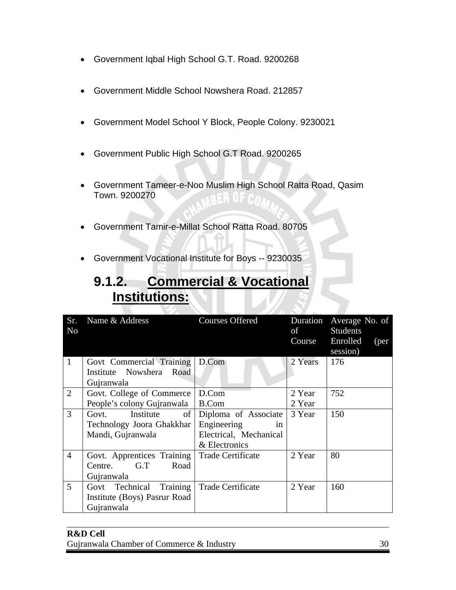- Government Iqbal High School G.T. Road. 9200268
- Government Middle School Nowshera Road. 212857
- Government Model School Y Block, People Colony. 9230021
- Government Public High School G.T Road. 9200265
- Government Tameer-e-Noo Muslim High School Ratta Road, Qasim Town. 9200270
- Government Tamir-e-Millat School Ratta Road. 80705
- Government Vocational Institute for Boys -- 9230035

#### **9.1.2. Commercial & Vocational Institutions:**

| Sr.<br>No      | Name & Address                                                             | <b>Courses Offered</b>                                                               | of<br>Course     | Duration Average No. of<br>Students<br>Enrolled<br>(per<br>session) |
|----------------|----------------------------------------------------------------------------|--------------------------------------------------------------------------------------|------------------|---------------------------------------------------------------------|
| $\mathbf{1}$   | Govt Commercial Training   D.Com<br>Institute Nowshera Road<br>Gujranwala  |                                                                                      | 2 Years          | 176                                                                 |
| $\overline{2}$ | Govt. College of Commerce<br>People's colony Gujranwala                    | D.Com<br>B.Com                                                                       | 2 Year<br>2 Year | 752                                                                 |
| 3              | Institute<br>of<br>Govt.<br>Technology Joora Ghakkhar<br>Mandi, Gujranwala | Diploma of Associate<br>Engineering<br>in<br>Electrical, Mechanical<br>& Electronics | 3 Year           | 150                                                                 |
| $\overline{4}$ | Govt. Apprentices Training<br>G.T<br>Road<br>Centre.<br>Gujranwala         | <b>Trade Certificate</b>                                                             | 2 Year           | 80                                                                  |
| $\overline{5}$ | Govt Technical Training<br>Institute (Boys) Pasrur Road<br>Gujranwala      | Trade Certificate                                                                    | 2 Year           | 160                                                                 |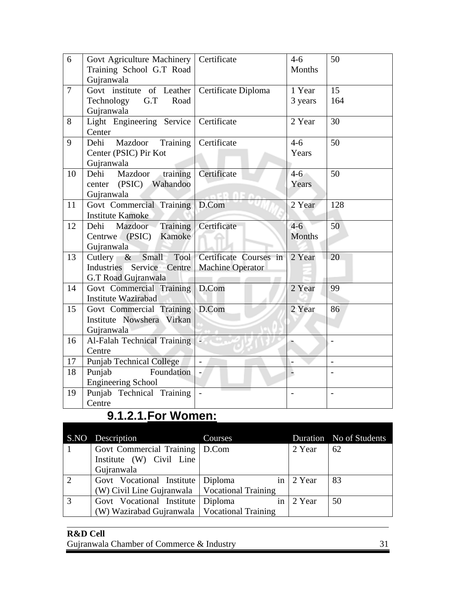| 6              | Govt Agriculture Machinery   Certificate<br>Training School G.T Road<br>Gujranwala |                                                              | $4-6$<br>Months        | 50                       |
|----------------|------------------------------------------------------------------------------------|--------------------------------------------------------------|------------------------|--------------------------|
| $\overline{7}$ | Govt institute of Leather<br>G.T<br>Technology<br>Road<br>Gujranwala               | Certificate Diploma                                          | 1 Year<br>3 years      | 15<br>164                |
| 8              | Light Engineering Service<br>Center                                                | Certificate                                                  | 2 Year                 | 30                       |
| 9              | Dehi Mazdoor Training<br>Center (PSIC) Pir Kot<br>Gujranwala                       | Certificate                                                  | $4 - 6$<br>Years       | 50                       |
| 10             | training<br>Dehi Mazdoor<br>center (PSIC) Wahandoo<br>Gujranwala                   | Certificate                                                  | $4-6$<br>Years         | 50                       |
| 11             | Govt Commercial Training<br><b>Institute Kamoke</b>                                | D.Com                                                        | 2 Year                 | 128                      |
| 12             | <b>Training</b><br>Mazdoor<br>Dehi<br>Centrwe (PSIC) Kamoke<br>Gujranwala          | Certificate                                                  | $4-6$<br><b>Months</b> | 50                       |
| 13             | Cutlery $\&$<br>Industries Service Centre<br>G.T Road Gujranwala                   | Small Tool Certificate Courses in<br><b>Machine Operator</b> | 2 Year                 | 20                       |
| 14             | Govt Commercial Training<br><b>Institute Wazirabad</b>                             | D.Com                                                        | 2 Year                 | 99                       |
| 15             | Govt Commercial Training<br>Institute Nowshera Virkan<br>Gujranwala                | D.Com                                                        | 2 Year                 | 86                       |
| 16             | Al-Falah Technical Training<br>Centre                                              | a.                                                           |                        |                          |
| 17             | <b>Punjab Technical College</b>                                                    |                                                              |                        |                          |
| 18             | Foundation<br>Punjab<br><b>Engineering School</b>                                  |                                                              |                        |                          |
| 19             | Punjab Technical Training<br>Centre                                                |                                                              |                        | $\overline{\phantom{a}}$ |

#### **9.1.2.1. For Women:**

|                | S.NO Description                               | Courses             |        | Duration No of Students |
|----------------|------------------------------------------------|---------------------|--------|-------------------------|
|                | Govt Commercial Training                       | $\vert$ D.Com       | 2 Year | 62                      |
|                | Institute (W) Civil Line                       |                     |        |                         |
|                | Gujranwala                                     |                     |        |                         |
| $\overline{2}$ | Govt Vocational Institute                      | Diploma<br>in       | 2 Year | 83                      |
|                | (W) Civil Line Gujranwala                      | Vocational Training |        |                         |
| $\overline{3}$ | Govt Vocational Institute Diploma              | in.                 | 2 Year | 50                      |
|                | (W) Wazirabad Gujranwala   Vocational Training |                     |        |                         |
|                |                                                |                     |        |                         |

#### **R&D Cell**  Gujranwala Chamber of Commerce & Industry 31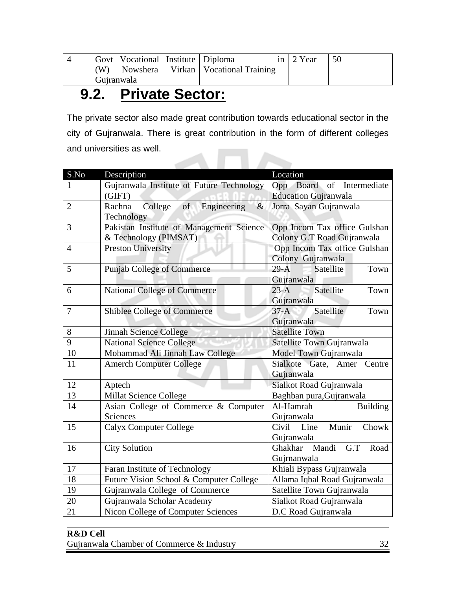|            | Govt Vocational Institute   Diploma |                                       | in $\vert$ 2 Year | -50 |
|------------|-------------------------------------|---------------------------------------|-------------------|-----|
| (W)        |                                     | Nowshera Virkan   Vocational Training |                   |     |
| Gujranwala |                                     |                                       |                   |     |

#### **9.2. Private Sector:**

The private sector also made great contribution towards educational sector in the city of Gujranwala. There is great contribution in the form of different colleges and universities as well. **The Second Second** 

| S.No           | Description                               | Location                           |  |  |
|----------------|-------------------------------------------|------------------------------------|--|--|
| 1              | Gujranwala Institute of Future Technology | Board<br>Intermediate<br>Opp<br>of |  |  |
|                | (GIFT)                                    | <b>Education Gujranwala</b>        |  |  |
| $\overline{2}$ | College of Engineering<br>$\&$<br>Rachna  | Jorra Sayan Gujranwala             |  |  |
|                | Technology                                |                                    |  |  |
| 3              | Pakistan Institute of Management Science  | Opp Incom Tax office Gulshan       |  |  |
|                | & Technology (PIMSAT)                     | Colony G.T Road Gujranwala         |  |  |
| $\overline{4}$ | <b>Preston University</b>                 | Opp Incom Tax office Gulshan       |  |  |
|                |                                           | Colony Gujranwala                  |  |  |
| 5              | <b>Punjab College of Commerce</b>         | Satellite<br>$29-A$<br>Town        |  |  |
|                |                                           | Gujranwala                         |  |  |
| 6              | <b>National College of Commerce</b>       | Satellite<br>$23-A$<br>Town        |  |  |
|                |                                           | Gujranwala                         |  |  |
| $\overline{7}$ | Shiblee College of Commerce               | Satellite<br>$37-A$<br>Town        |  |  |
|                |                                           | Gujranwala                         |  |  |
| 8              | Jinnah Science College                    | <b>Satellite Town</b>              |  |  |
| 9              | <b>National Science College</b>           | Satellite Town Gujranwala          |  |  |
| 10             | Mohammad Ali Jinnah Law College           | Model Town Gujranwala              |  |  |
| 11             | <b>Amerch Computer College</b>            | Sialkote Gate, Amer Centre         |  |  |
|                |                                           | Gujranwala                         |  |  |
| 12             | Aptech                                    | Sialkot Road Gujranwala            |  |  |
| 13             | <b>Millat Science College</b>             | Baghban pura, Gujranwala           |  |  |
| 14             | Asian College of Commerce & Computer      | Al-Hamrah<br><b>Building</b>       |  |  |
|                | Sciences                                  | Gujranwala                         |  |  |
| 15             | <b>Calyx Computer College</b>             | Munir<br>Civil Line<br>Chowk       |  |  |
|                |                                           | Gujranwala                         |  |  |
| 16             | <b>City Solution</b>                      | Ghakhar Mandi G.T<br>Road          |  |  |
|                |                                           | Gujrnanwala                        |  |  |
| 17             | Faran Institute of Technology             | Khiali Bypass Gujranwala           |  |  |
| 18             | Future Vision School & Computer College   | Allama Iqbal Road Gujranwala       |  |  |
| 19             | Gujranwala College of Commerce            | Satellite Town Gujranwala          |  |  |
| 20             | Gujranwala Scholar Academy                | Sialkot Road Gujranwala            |  |  |
| 21             | Nicon College of Computer Sciences        | D.C Road Gujranwala                |  |  |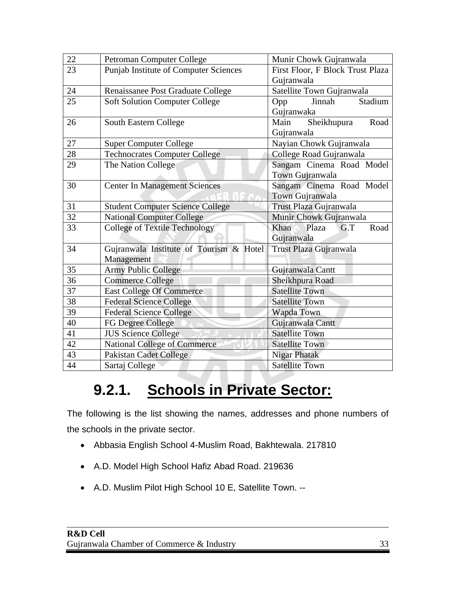| 22 | Petroman Computer College                                         | Munir Chowk Gujranwala           |  |  |
|----|-------------------------------------------------------------------|----------------------------------|--|--|
| 23 | <b>Punjab Institute of Computer Sciences</b>                      | First Floor, F Block Trust Plaza |  |  |
|    |                                                                   | Gujranwala                       |  |  |
| 24 | Renaissanee Post Graduate College                                 | Satellite Town Gujranwala        |  |  |
| 25 | <b>Soft Solution Computer College</b>                             | Stadium<br>Jinnah<br>Opp         |  |  |
|    |                                                                   | Gujranwaka                       |  |  |
| 26 | South Eastern College                                             | Main<br>Sheikhupura<br>Road      |  |  |
|    |                                                                   | Gujranwala                       |  |  |
| 27 | <b>Super Computer College</b>                                     | Nayian Chowk Gujranwala          |  |  |
| 28 | <b>Technocrates Computer College</b>                              | College Road Gujranwala          |  |  |
| 29 | The Nation College                                                | Sangam Cinema Road Model         |  |  |
|    |                                                                   | Town Gujranwala                  |  |  |
| 30 | <b>Center In Management Sciences</b>                              | Sangam Cinema Road Model         |  |  |
|    |                                                                   | Town Gujranwala                  |  |  |
| 31 | Trust Plaza Gujranwala<br><b>Student Computer Science College</b> |                                  |  |  |
| 32 | <b>National Computer College</b>                                  | Munir Chowk Gujranwala           |  |  |
| 33 | <b>College of Textile Technology</b>                              | Road<br>Khan<br>Plaza<br>G.T     |  |  |
|    |                                                                   | Gujranwala                       |  |  |
| 34 | Gujranwala Institute of Tourism & Hotel                           | Trust Plaza Gujranwala           |  |  |
|    | Management                                                        |                                  |  |  |
| 35 | <b>Army Public College</b>                                        | Gujranwala Cantt                 |  |  |
| 36 | <b>Commerce College</b>                                           | Sheikhpura Road                  |  |  |
| 37 | <b>East College Of Commerce</b>                                   | <b>Satellite Town</b>            |  |  |
| 38 | <b>Federal Science College</b>                                    | <b>Satellite Town</b>            |  |  |
| 39 | <b>Federal Science College</b>                                    | Wapda Town                       |  |  |
| 40 | FG Degree College                                                 | Gujranwala Cantt                 |  |  |
| 41 | <b>JUS Science College</b>                                        | <b>Satellite Town</b>            |  |  |
| 42 | <b>National College of Commerce</b>                               | <b>Satellite Town</b>            |  |  |
| 43 | <b>Pakistan Cadet College</b>                                     | <b>Nigar Phatak</b>              |  |  |
| 44 | Sartaj College                                                    | <b>Satellite Town</b>            |  |  |

#### **9.2.1. Schools in Private Sector:**

The following is the list showing the names, addresses and phone numbers of the schools in the private sector.

- Abbasia English School 4-Muslim Road, Bakhtewala. 217810
- A.D. Model High School Hafiz Abad Road. 219636
- A.D. Muslim Pilot High School 10 E, Satellite Town. --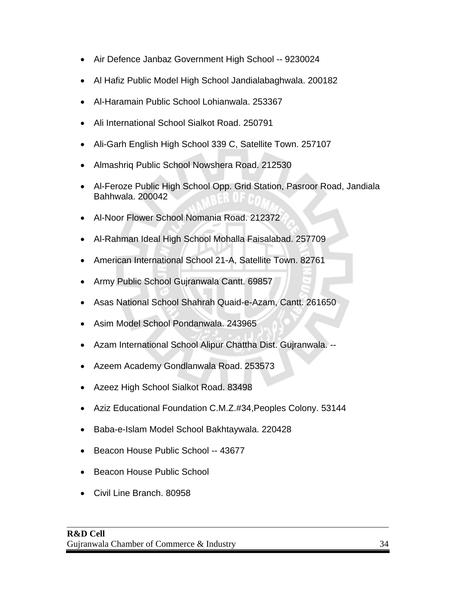- Air Defence Janbaz Government High School -- 9230024
- Al Hafiz Public Model High School Jandialabaghwala. 200182
- Al-Haramain Public School Lohianwala. 253367
- Ali International School Sialkot Road. 250791
- Ali-Garh English High School 339 C, Satellite Town. 257107
- Almashriq Public School Nowshera Road. 212530
- Al-Feroze Public High School Opp. Grid Station, Pasroor Road, Jandiala Bahhwala. 200042
- Al-Noor Flower School Nomania Road. 212372
- Al-Rahman Ideal High School Mohalla Faisalabad. 257709
- American International School 21-A, Satellite Town. 82761
- Army Public School Gujranwala Cantt. 69857
- Asas National School Shahrah Quaid-e-Azam, Cantt. 261650
- Asim Model School Pondanwala. 243965
- Azam International School Alipur Chattha Dist. Gujranwala. --
- Azeem Academy Gondlanwala Road. 253573
- Azeez High School Sialkot Road. 83498
- Aziz Educational Foundation C.M.Z.#34,Peoples Colony. 53144
- Baba-e-Islam Model School Bakhtaywala. 220428
- Beacon House Public School -- 43677
- Beacon House Public School
- Civil Line Branch. 80958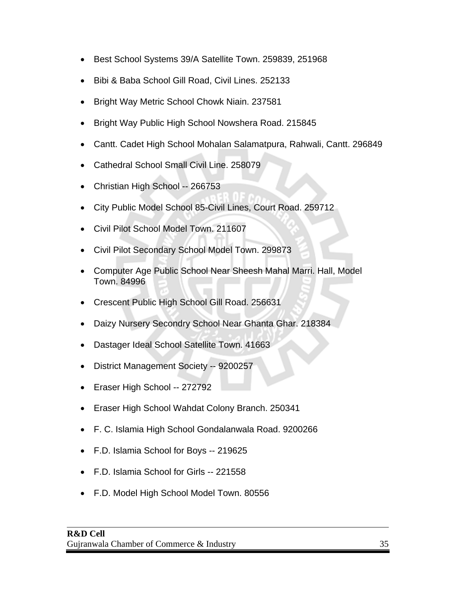- Best School Systems 39/A Satellite Town. 259839, 251968
- Bibi & Baba School Gill Road, Civil Lines. 252133
- Bright Way Metric School Chowk Niain. 237581
- Bright Way Public High School Nowshera Road. 215845
- Cantt. Cadet High School Mohalan Salamatpura, Rahwali, Cantt. 296849
- Cathedral School Small Civil Line. 258079
- Christian High School -- 266753
- City Public Model School 85-Civil Lines, Court Road. 259712
- Civil Pilot School Model Town. 211607
- Civil Pilot Secondary School Model Town. 299873
- Computer Age Public School Near Sheesh Mahal Marri. Hall, Model Town. 84996
- Crescent Public High School Gill Road. 256631
- Daizy Nursery Secondry School Near Ghanta Ghar. 218384
- Dastager Ideal School Satellite Town. 41663
- District Management Society -- 9200257
- Eraser High School -- 272792
- Eraser High School Wahdat Colony Branch. 250341
- F. C. Islamia High School Gondalanwala Road. 9200266
- F.D. Islamia School for Boys -- 219625
- F.D. Islamia School for Girls -- 221558
- F.D. Model High School Model Town. 80556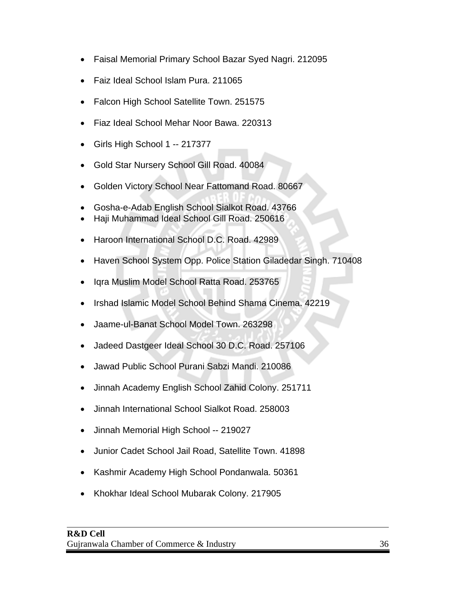- Faisal Memorial Primary School Bazar Syed Nagri. 212095
- Faiz Ideal School Islam Pura. 211065
- Falcon High School Satellite Town. 251575
- Fiaz Ideal School Mehar Noor Bawa. 220313
- Girls High School 1 -- 217377
- Gold Star Nursery School Gill Road. 40084
- Golden Victory School Near Fattomand Road. 80667
- Gosha-e-Adab English School Sialkot Road. 43766
- Haji Muhammad Ideal School Gill Road. 250616
- Haroon International School D.C. Road. 42989
- Haven School System Opp. Police Station Giladedar Singh. 710408
- Iqra Muslim Model School Ratta Road. 253765
- Irshad Islamic Model School Behind Shama Cinema. 42219
- Jaame-ul-Banat School Model Town. 263298
- Jadeed Dastgeer Ideal School 30 D.C. Road. 257106
- Jawad Public School Purani Sabzi Mandi. 210086
- Jinnah Academy English School Zahid Colony. 251711
- Jinnah International School Sialkot Road. 258003
- Jinnah Memorial High School -- 219027
- Junior Cadet School Jail Road, Satellite Town. 41898
- Kashmir Academy High School Pondanwala. 50361
- Khokhar Ideal School Mubarak Colony. 217905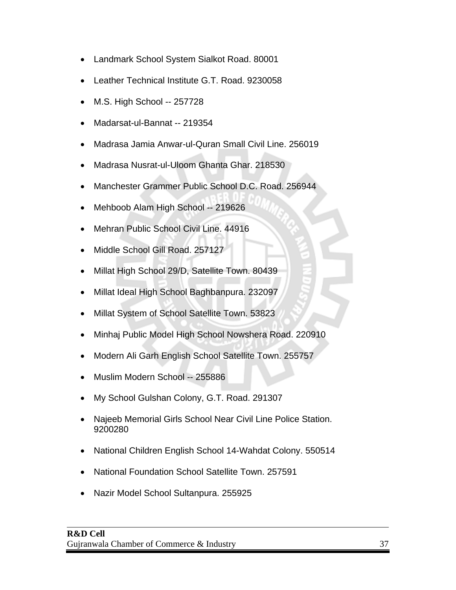- Landmark School System Sialkot Road. 80001
- Leather Technical Institute G.T. Road. 9230058
- M.S. High School -- 257728
- Madarsat-ul-Bannat -- 219354
- Madrasa Jamia Anwar-ul-Quran Small Civil Line. 256019
- Madrasa Nusrat-ul-Uloom Ghanta Ghar. 218530
- Manchester Grammer Public School D.C. Road. 256944
- Mehboob Alam High School -- 219626
- Mehran Public School Civil Line. 44916
- Middle School Gill Road. 257127
- Millat High School 29/D, Satellite Town. 80439
- Millat Ideal High School Baghbanpura. 232097
- Millat System of School Satellite Town. 53823
- Minhaj Public Model High School Nowshera Road. 220910
- Modern Ali Garh English School Satellite Town. 255757
- Muslim Modern School -- 255886
- My School Gulshan Colony, G.T. Road. 291307
- Najeeb Memorial Girls School Near Civil Line Police Station. 9200280
- National Children English School 14-Wahdat Colony. 550514
- National Foundation School Satellite Town. 257591
- Nazir Model School Sultanpura. 255925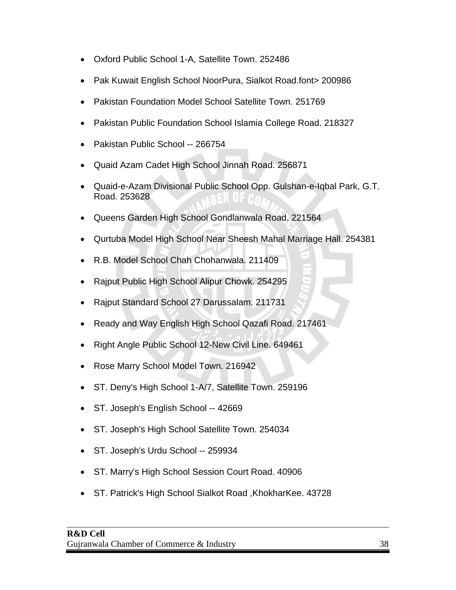- Oxford Public School 1-A, Satellite Town. 252486
- Pak Kuwait English School NoorPura, Sialkot Road.font> 200986
- Pakistan Foundation Model School Satellite Town. 251769
- Pakistan Public Foundation School Islamia College Road. 218327
- Pakistan Public School -- 266754
- Quaid Azam Cadet High School Jinnah Road. 256871
- Quaid-e-Azam Divisional Public School Opp. Gulshan-e-Iqbal Park, G.T. Road. 253628
- Queens Garden High School Gondlanwala Road. 221564
- Qurtuba Model High School Near Sheesh Mahal Marriage Hall. 254381
- R.B. Model School Chah Chohanwala. 211409
- Rajput Public High School Alipur Chowk. 254295
- Rajput Standard School 27 Darussalam. 211731
- Ready and Way English High School Qazafi Road. 217461
- Right Angle Public School 12-New Civil Line. 649461
- Rose Marry School Model Town. 216942
- ST. Deny's High School 1-A/7, Satellite Town. 259196
- ST. Joseph's English School -- 42669
- ST. Joseph's High School Satellite Town. 254034
- ST. Joseph's Urdu School -- 259934
- ST. Marry's High School Session Court Road. 40906
- ST. Patrick's High School Sialkot Road ,KhokharKee. 43728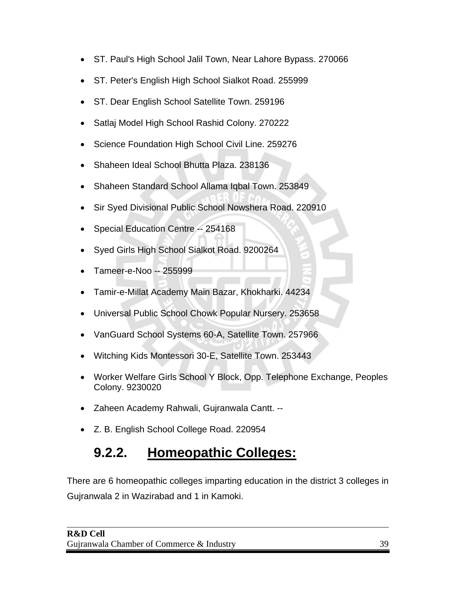- ST. Paul's High School Jalil Town, Near Lahore Bypass. 270066
- ST. Peter's English High School Sialkot Road. 255999
- ST. Dear English School Satellite Town. 259196
- Satlaj Model High School Rashid Colony. 270222
- Science Foundation High School Civil Line. 259276
- Shaheen Ideal School Bhutta Plaza. 238136
- Shaheen Standard School Allama Iqbal Town. 253849
- Sir Syed Divisional Public School Nowshera Road. 220910
- Special Education Centre -- 254168
- Syed Girls High School Sialkot Road. 9200264
- Tameer-e-Noo -- 255999
- Tamir-e-Millat Academy Main Bazar, Khokharki. 44234
- Universal Public School Chowk Popular Nursery. 253658
- VanGuard School Systems 60-A, Satellite Town. 257966
- Witching Kids Montessori 30-E, Satellite Town. 253443
- Worker Welfare Girls School Y Block, Opp. Telephone Exchange, Peoples Colony. 9230020
- Zaheen Academy Rahwali, Gujranwala Cantt. --
- Z. B. English School College Road. 220954

#### **9.2.2. Homeopathic Colleges:**

There are 6 homeopathic colleges imparting education in the district 3 colleges in Gujranwala 2 in Wazirabad and 1 in Kamoki.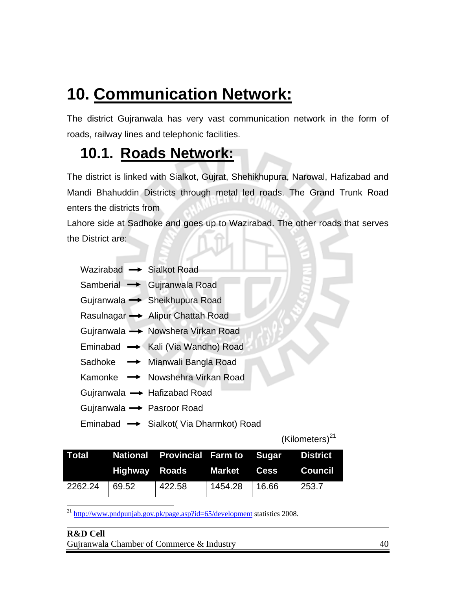#### **10. Communication Network:**

The district Gujranwala has very vast communication network in the form of roads, railway lines and telephonic facilities.

#### **10.1. Roads Network:**

The district is linked with Sialkot, Gujrat, Shehikhupura, Narowal, Hafizabad and Mandi Bhahuddin Districts through metal led roads. The Grand Trunk Road enters the districts from

Lahore side at Sadhoke and goes up to Wazirabad. The other roads that serves the District are:

Samberial **-** Gujranwala Road

- Gujranwala 
Sheikhupura Road
- Rasulnagar  $\rightarrow$  Alipur Chattah Road
- Gujranwala Nowshera Virkan Road
- Eminabad  $\rightarrow$  Kali (Via Wandho) Road
- Sadhoke  $\rightarrow$  Mianwali Bangla Road
- Kamonke  $\rightarrow$  Nowshehra Virkan Road
- Gujranwala  $\rightarrow$  Hafizabad Road
- Gujranwala  $\rightarrow$  Pasroor Road
- Eminabad  $\rightarrow$  Sialkot( Via Dharmkot) Road

 $(Kilometers)^{21}$ 

|                               | Total Mational Provincial Farm to Sugar District |                   |       |
|-------------------------------|--------------------------------------------------|-------------------|-------|
|                               | Highway Roads Market Cess Council                |                   |       |
| $\vert$ 2262.24 $\vert$ 69.52 | 422.58                                           | $1454.28$   16.66 | 253.7 |

 $\overline{a}$  $^{21}$  http://www.pndpunjab.gov.pk/page.asp?id=65/development statistics 2008.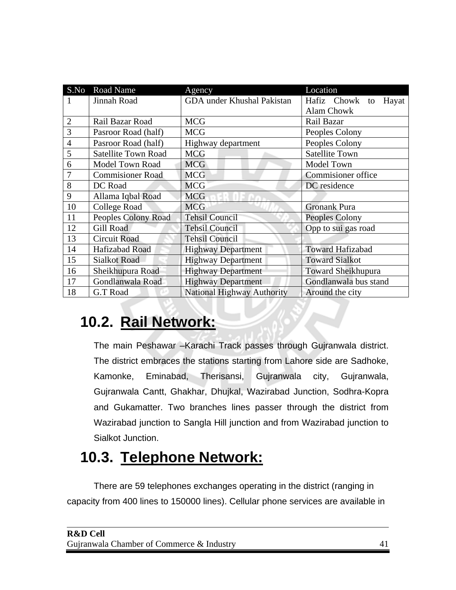| S.No           | <b>Road Name</b>           | Agency                            | Location                   |
|----------------|----------------------------|-----------------------------------|----------------------------|
| 1              | Jinnah Road                | GDA under Khushal Pakistan        | Hafiz Chowk<br>Hayat<br>to |
|                |                            |                                   | <b>Alam Chowk</b>          |
| $\overline{2}$ | Rail Bazar Road            | <b>MCG</b>                        | Rail Bazar                 |
| 3              | Pasroor Road (half)        | <b>MCG</b>                        | Peoples Colony             |
| $\overline{4}$ | Pasroor Road (half)        | Highway department                | Peoples Colony             |
| 5              | <b>Satellite Town Road</b> | <b>MCG</b>                        | <b>Satellite Town</b>      |
| 6              | <b>Model Town Road</b>     | <b>MCG</b>                        | Model Town                 |
| 7              | <b>Commisioner Road</b>    | <b>MCG</b>                        | <b>Commisioner</b> office  |
| 8              | DC Road                    | <b>MCG</b>                        | DC residence               |
| 9              | Allama Iqbal Road          | <b>MCG</b>                        |                            |
| 10             | <b>College Road</b>        | <b>MCG</b>                        | <b>Gronank Pura</b>        |
| 11             | Peoples Colony Road        | <b>Tehsil Council</b>             | Peoples Colony             |
| 12             | Gill Road                  | <b>Tehsil Council</b>             | Opp to sui gas road        |
| 13             | <b>Circuit Road</b>        | <b>Tehsil Council</b>             |                            |
| 14             | Hafizabad Road             | <b>Highway Department</b>         | <b>Toward Hafizabad</b>    |
| 15             | <b>Sialkot Road</b>        | <b>Highway Department</b>         | <b>Toward Sialkot</b>      |
| 16             | Sheikhupura Road           | <b>Highway Department</b>         | <b>Toward Sheikhupura</b>  |
| 17             | Gondlanwala Road           | <b>Highway Department</b>         | Gondlanwala bus stand      |
| 18             | G.T Road                   | <b>National Highway Authority</b> | Around the city            |

#### **10.2. Rail Network:**

The main Peshawar –Karachi Track passes through Gujranwala district. The district embraces the stations starting from Lahore side are Sadhoke, Kamonke, Eminabad, Therisansi, Gujranwala city, Gujranwala, Gujranwala Cantt, Ghakhar, Dhujkal, Wazirabad Junction, Sodhra-Kopra and Gukamatter. Two branches lines passer through the district from Wazirabad junction to Sangla Hill junction and from Wazirabad junction to Sialkot Junction.

#### **10.3. Telephone Network:**

There are 59 telephones exchanges operating in the district (ranging in capacity from 400 lines to 150000 lines). Cellular phone services are available in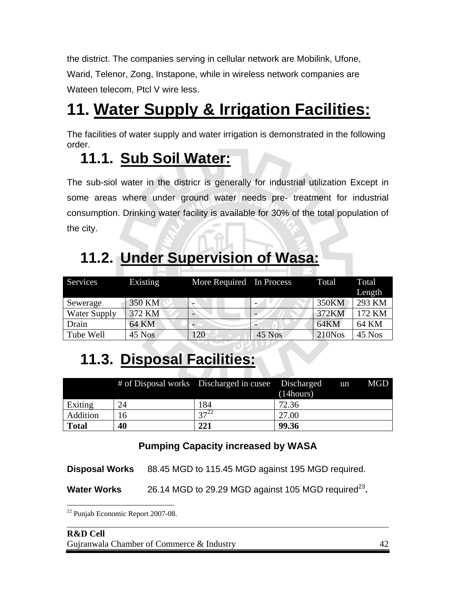the district. The companies serving in cellular network are Mobilink, Ufone, Warid, Telenor, Zong, Instapone, while in wireless network companies are Wateen telecom, Ptcl V wire less.

### **11. Water Supply & Irrigation Facilities:**

The facilities of water supply and water irrigation is demonstrated in the following order.

#### **11.1. Sub Soil Water:**

The sub-siol water in the districr is generally for industrial utilization Except in some areas where under ground water needs pre- treatment for industrial consumption. Drinking water facility is available for 30% of the total population of the city.

#### Services Existing More Required In Process Total Total Length Sewerage 350 KM - - 350 KM 350 KM Water Supply 372 KM - - 372 KM 372 KM 372 KM Drain 64 KM - 64 KM 64 KM Tube Well 45 Nos 120 45 Nos 210Nos 45 Nos

#### **11.2. Under Supervision of Wasa:**

#### **11.3. Disposal Facilities:**

|              |    | # of Disposal works Discharged in cuse Discharged | (14 hours) | un | MGD |
|--------------|----|---------------------------------------------------|------------|----|-----|
| Exiting      | 24 | 184                                               | 72.36      |    |     |
| Addition     | 6  | $27 - 22$                                         | 27.00      |    |     |
| <b>Total</b> | 40 | 221                                               | 99.36      |    |     |

#### **Pumping Capacity increased by WASA**

**Disposal Works** 88.45 MGD to 115.45 MGD against 195 MGD required.

**Water Works** 26.14 MGD to 29.29 MGD against 105 MGD required<sup>23</sup>.

<sup>1</sup> 22 Punjab Economic Report 2007-08.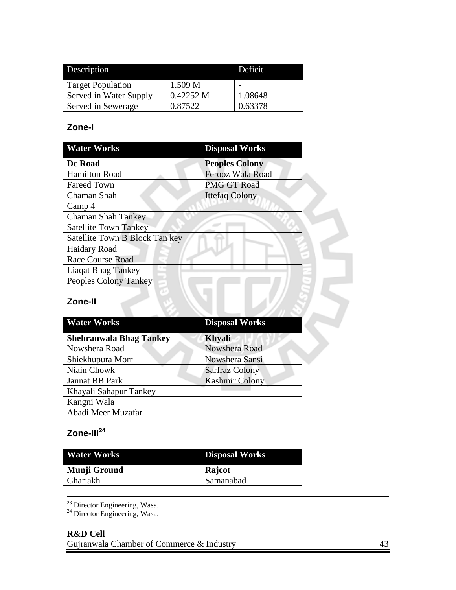| Description              |           | Deficit |
|--------------------------|-----------|---------|
| <b>Target Population</b> | 1.509 M   |         |
| Served in Water Supply   | 0.42252 M | 1.08648 |
| Served in Sewerage       | 0.87522   | 0.63378 |

#### **Zone-I**

| <b>Water Works</b>             | <b>Disposal Works</b> |  |
|--------------------------------|-----------------------|--|
| Dc Road                        | <b>Peoples Colony</b> |  |
| <b>Hamilton Road</b>           | Ferooz Wala Road      |  |
| <b>Fareed Town</b>             | <b>PMG GT Road</b>    |  |
| Chaman Shah                    | <b>Ittefaq Colony</b> |  |
| Camp 4                         |                       |  |
| <b>Chaman Shah Tankey</b>      |                       |  |
| <b>Satellite Town Tankey</b>   |                       |  |
| Satellite Town B Block Tan key |                       |  |
| <b>Haidary Road</b>            |                       |  |
| <b>Race Course Road</b>        |                       |  |
| <b>Liaqat Bhag Tankey</b>      |                       |  |
| Peoples Colony Tankey          |                       |  |

#### **Zone-II**

| <b>Water Works</b>             | <b>Disposal Works</b> |
|--------------------------------|-----------------------|
| <b>Shehranwala Bhag Tankey</b> | <b>Khyali</b>         |
| Nowshera Road                  | Nowshera Road         |
| Shiekhupura Morr               | Nowshera Sansi        |
| Niain Chowk                    | <b>Sarfraz Colony</b> |
| Jannat BB Park                 | <b>Kashmir Colony</b> |
| Khayali Sahapur Tankey         |                       |
| Kangni Wala                    |                       |
| Abadi Meer Muzafar             |                       |

#### Zone-III<sup>24</sup>

 $\overline{a}$ 

| <b>Water Works</b> | <b>Disposal Works</b> |  |  |
|--------------------|-----------------------|--|--|
| Munji Ground       | Rajcot                |  |  |
| Gharjakh           | Samanabad             |  |  |

 $23$  Director Engineering, Wasa.

<sup>24</sup> Director Engineering, Wasa.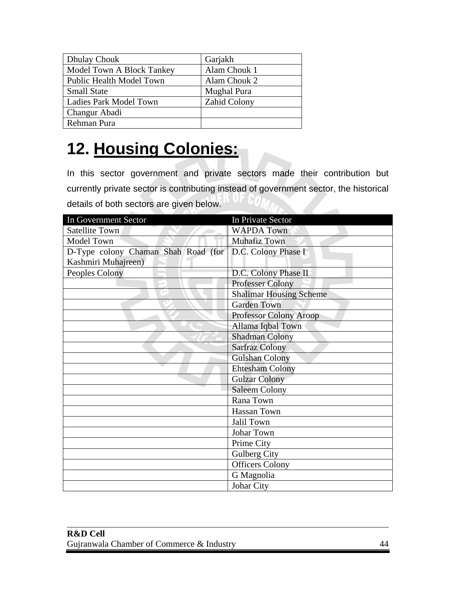| <b>Dhulay Chouk</b>             | Garjakh             |
|---------------------------------|---------------------|
| Model Town A Block Tankey       | Alam Chouk 1        |
| <b>Public Health Model Town</b> | Alam Chouk 2        |
| <b>Small State</b>              | Mughal Pura         |
| Ladies Park Model Town          | <b>Zahid Colony</b> |
| Changur Abadi                   |                     |
| Rehman Pura                     |                     |

## **12. Housing Colonies:**

In this sector government and private sectors made their contribution but currently private sector is contributing instead of government sector, the historical details of both sectors are given below.  $\sim$ 

| In Government Sector                                      | In Private Sector              |
|-----------------------------------------------------------|--------------------------------|
| <b>Satellite Town</b>                                     | <b>WAPDA Town</b>              |
| <b>Model Town</b>                                         | <b>Muhafiz Town</b>            |
| D-Type colony Chaman Shah Road (for   D.C. Colony Phase I |                                |
| Kashmiri Muhajreen)                                       |                                |
| Peoples Colony                                            | D.C. Colony Phase II           |
|                                                           | <b>Professer Colony</b>        |
|                                                           | <b>Shalimar Housing Scheme</b> |
|                                                           | <b>Garden Town</b>             |
|                                                           | <b>Professor Colony Aroop</b>  |
|                                                           | Allama Iqbal Town              |
|                                                           | <b>Shadman Colony</b>          |
|                                                           | <b>Sarfraz Colony</b>          |
|                                                           | <b>Gulshan Colony</b>          |
|                                                           | <b>Ehtesham Colony</b>         |
|                                                           | <b>Gulzar Colony</b>           |
|                                                           | <b>Saleem Colony</b>           |
|                                                           | Rana Town                      |
|                                                           | <b>Hassan Town</b>             |
|                                                           | Jalil Town                     |
|                                                           | Johar Town                     |
|                                                           | Prime City                     |
|                                                           | Gulberg City                   |
|                                                           | <b>Officers Colony</b>         |
|                                                           | G Magnolia                     |
|                                                           | Johar City                     |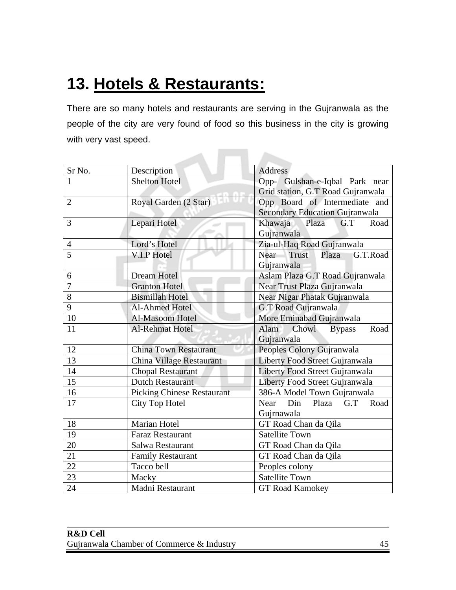### **13. Hotels & Restaurants:**

There are so many hotels and restaurants are serving in the Gujranwala as the people of the city are very found of food so this business in the city is growing with very vast speed.

**Contract** 

 $\sim$   $\sim$   $\sim$ 

| Sr No.         | Description                       | <b>Address</b>                            |  |  |  |
|----------------|-----------------------------------|-------------------------------------------|--|--|--|
| $\mathbf{1}$   | <b>Shelton Hotel</b>              | Opp- Gulshan-e-Iqbal Park near            |  |  |  |
|                |                                   | Grid station, G.T Road Gujranwala         |  |  |  |
| $\overline{2}$ | Royal Garden (2 Star)             | Opp Board of Intermediate and             |  |  |  |
|                |                                   | <b>Secondary Education Gujranwala</b>     |  |  |  |
| 3              | Lepari Hotel                      | Khawaja Plaza<br>G.T<br>Road              |  |  |  |
|                |                                   | Gujranwala                                |  |  |  |
| $\overline{4}$ | Lord's Hotel                      | Zia-ul-Haq Road Gujranwala                |  |  |  |
| $\overline{5}$ | V.I.P Hotel                       | <b>Near</b><br>Trust<br>G.T.Road<br>Plaza |  |  |  |
|                |                                   | Gujranwala                                |  |  |  |
| 6              | Dream Hotel                       | Aslam Plaza G.T Road Gujranwala           |  |  |  |
| $\overline{7}$ | <b>Granton Hotel</b>              | Near Trust Plaza Gujranwala               |  |  |  |
| 8              | <b>Bismillah Hotel</b>            | Near Nigar Phatak Gujranwala              |  |  |  |
| 9              | <b>Al-Ahmed Hotel</b>             | G.T Road Gujranwala                       |  |  |  |
| 10             | Al-Masoom Hotel                   | More Eminabad Gujranwala                  |  |  |  |
| 11             | Al-Rehmat Hotel                   | Chowl<br>Alam<br>Road<br><b>Bypass</b>    |  |  |  |
|                |                                   | Gujranwala                                |  |  |  |
| 12             | <b>China Town Restaurant</b>      | Peoples Colony Gujranwala                 |  |  |  |
| 13             | China Village Restaurant          | Liberty Food Street Gujranwala            |  |  |  |
| 14             | <b>Chopal Restaurant</b>          | Liberty Food Street Gujranwala            |  |  |  |
| 15             | <b>Dutch Restaurant</b>           | Liberty Food Street Gujranwala            |  |  |  |
| 16             | <b>Picking Chinese Restaurant</b> | 386-A Model Town Gujranwala               |  |  |  |
| 17             | City Top Hotel                    | Din<br>G.T<br>Near<br>Plaza<br>Road       |  |  |  |
|                |                                   | Gujrnawala                                |  |  |  |
| 18             | <b>Marian Hotel</b>               | GT Road Chan da Qila                      |  |  |  |
| 19             | <b>Faraz Restaurant</b>           | <b>Satellite Town</b>                     |  |  |  |
| 20             | Salwa Restaurant                  | GT Road Chan da Qila                      |  |  |  |
| 21             | <b>Family Restaurant</b>          | GT Road Chan da Qila                      |  |  |  |
| 22             | Tacco bell                        | Peoples colony                            |  |  |  |
| 23             | Macky                             | <b>Satellite Town</b>                     |  |  |  |
| 24             | Madni Restaurant                  | <b>GT Road Kamokey</b>                    |  |  |  |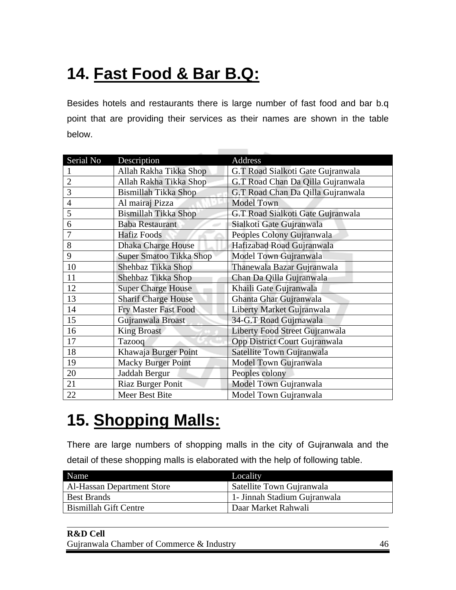### **14. Fast Food & Bar B.Q:**

Besides hotels and restaurants there is large number of fast food and bar b.q point that are providing their services as their names are shown in the table below.

| Serial No      | Description                    | Address                           |
|----------------|--------------------------------|-----------------------------------|
|                | Allah Rakha Tikka Shop         | G.T Road Sialkoti Gate Gujranwala |
| $\overline{2}$ | Allah Rakha Tikka Shop         | G.T Road Chan Da Qilla Gujranwala |
| 3              | Bismillah Tikka Shop           | G.T Road Chan Da Qilla Gujranwala |
| $\overline{4}$ | Al mairaj Pizza                | <b>Model Town</b>                 |
| 5              | <b>Bismillah Tikka Shop</b>    | G.T Road Sialkoti Gate Gujranwala |
| 6              | <b>Baba Restaurant</b>         | Sialkoti Gate Gujranwala          |
| 7              | <b>Hafiz Foods</b>             | Peoples Colony Gujranwala         |
| 8              | <b>Dhaka Charge House</b>      | Hafizabad Road Gujranwala         |
| 9              | <b>Super Smatoo Tikka Shop</b> | Model Town Gujranwala             |
| 10             | Shehbaz Tikka Shop             | Thanewala Bazar Gujranwala        |
| 11             | Shehbaz Tikka Shop             | Chan Da Qilla Gujranwala          |
| 12             | <b>Super Charge House</b>      | Khaili Gate Gujranwala            |
| 13             | <b>Sharif Charge House</b>     | Ghanta Ghar Gujranwala            |
| 14             | Fry Master Fast Food           | Liberty Market Gujranwala         |
| 15             | Gujranwala Broast              | 34-G.T Road Gujrnawala            |
| 16             | <b>King Broast</b>             | Liberty Food Street Gujranwala    |
| 17             | Tazooq                         | Opp District Court Gujranwala     |
| 18             | Khawaja Burger Point           | Satellite Town Gujranwala         |
| 19             | <b>Macky Burger Point</b>      | Model Town Gujranwala             |
| 20             | Jaddah Bergur                  | Peoples colony                    |
| 21             | <b>Riaz Burger Ponit</b>       | Model Town Gujranwala             |
| 22             | Meer Best Bite                 | Model Town Gujranwala             |

### **15. Shopping Malls:**

There are large numbers of shopping malls in the city of Gujranwala and the detail of these shopping malls is elaborated with the help of following table.

| <b>Name</b>                       | Locality                      |
|-----------------------------------|-------------------------------|
| <b>Al-Hassan Department Store</b> | Satellite Town Gujranwala     |
| <b>Best Brands</b>                | 1 - Jinnah Stadium Gujranwala |
| <b>Bismillah Gift Centre</b>      | Daar Market Rahwali           |

#### **R&D Cell**  Gujranwala Chamber of Commerce & Industry 46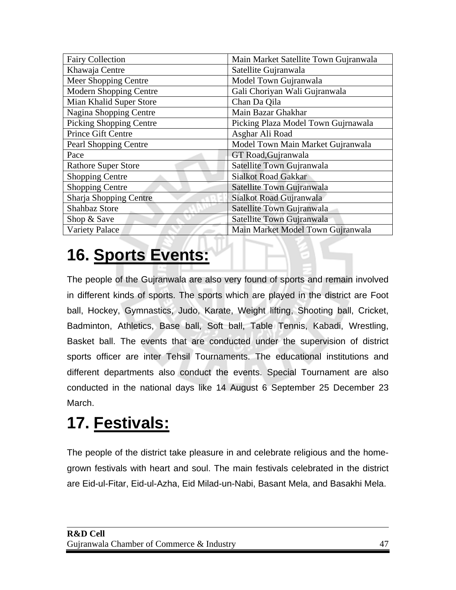| <b>Fairy Collection</b>        | Main Market Satellite Town Gujranwala |
|--------------------------------|---------------------------------------|
| Khawaja Centre                 | Satellite Gujranwala                  |
| Meer Shopping Centre           | Model Town Gujranwala                 |
| Modern Shopping Centre         | Gali Choriyan Wali Gujranwala         |
| Mian Khalid Super Store        | Chan Da Qila                          |
| Nagina Shopping Centre         | Main Bazar Ghakhar                    |
| <b>Picking Shopping Centre</b> | Picking Plaza Model Town Gujrnawala   |
| Prince Gift Centre             | Asghar Ali Road                       |
| <b>Pearl Shopping Centre</b>   | Model Town Main Market Gujranwala     |
| Pace                           | GT Road, Gujranwala                   |
| <b>Rathore Super Store</b>     | Satellite Town Gujranwala             |
| <b>Shopping Centre</b>         | <b>Sialkot Road Gakkar</b>            |
| <b>Shopping Centre</b>         | Satellite Town Gujranwala             |
| Sharja Shopping Centre         | Sialkot Road Gujranwala               |
| Shahbaz Store                  | Satellite Town Gujranwala             |
| Shop & Save                    | Satellite Town Gujranwala             |
| <b>Variety Palace</b>          | Main Market Model Town Gujranwala     |

### **16. Sports Events:**

The people of the Gujranwala are also very found of sports and remain involved in different kinds of sports. The sports which are played in the district are Foot ball, Hockey, Gymnastics, Judo, Karate, Weight lifting, Shooting ball, Cricket, Badminton, Athletics, Base ball, Soft ball, Table Tennis, Kabadi, Wrestling, Basket ball. The events that are conducted under the supervision of district sports officer are inter Tehsil Tournaments. The educational institutions and different departments also conduct the events. Special Tournament are also conducted in the national days like 14 August 6 September 25 December 23 March.

### **17. Festivals:**

 $\overline{a}$ 

The people of the district take pleasure in and celebrate religious and the homegrown festivals with heart and soul. The main festivals celebrated in the district are Eid-ul-Fitar, Eid-ul-Azha, Eid Milad-un-Nabi, Basant Mela, and Basakhi Mela.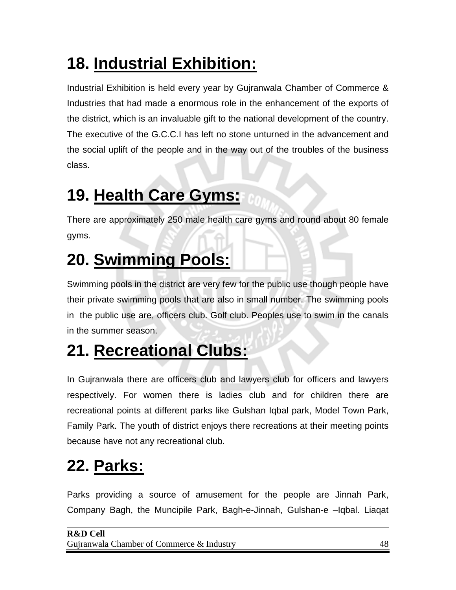## **18. Industrial Exhibition:**

Industrial Exhibition is held every year by Gujranwala Chamber of Commerce & Industries that had made a enormous role in the enhancement of the exports of the district, which is an invaluable gift to the national development of the country. The executive of the G.C.C.I has left no stone unturned in the advancement and the social uplift of the people and in the way out of the troubles of the business class.

### **19. Health Care Gyms:**

There are approximately 250 male health care gyms and round about 80 female gyms.

### **20. Swimming Pools:**

Swimming pools in the district are very few for the public use though people have their private swimming pools that are also in small number. The swimming pools in the public use are, officers club. Golf club. Peoples use to swim in the canals in the summer season.

### **21. Recreational Clubs:**

In Gujranwala there are officers club and lawyers club for officers and lawyers respectively. For women there is ladies club and for children there are recreational points at different parks like Gulshan Iqbal park, Model Town Park, Family Park. The youth of district enjoys there recreations at their meeting points because have not any recreational club.

### **22. Parks:**

 $\overline{a}$ 

Parks providing a source of amusement for the people are Jinnah Park, Company Bagh, the Muncipile Park, Bagh-e-Jinnah, Gulshan-e –Iqbal. Liaqat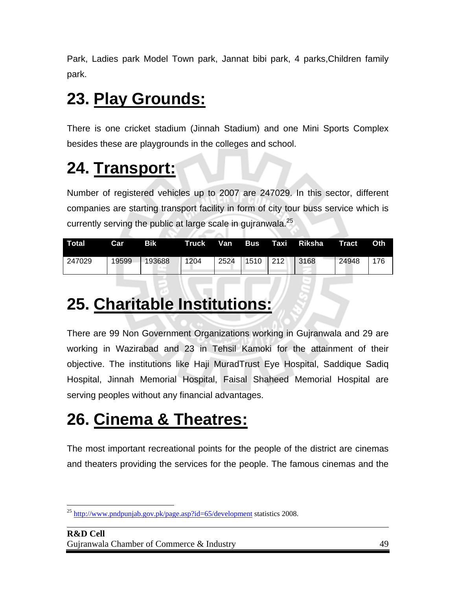Park, Ladies park Model Town park, Jannat bibi park, 4 parks,Children family park.

### **23. Play Grounds:**

There is one cricket stadium (Jinnah Stadium) and one Mini Sports Complex besides these are playgrounds in the colleges and school.

### **24. Transport:**

Number of registered vehicles up to 2007 are 247029. In this sector, different companies are starting transport facility in form of city tour buss service which is currently serving the public at large scale in quiranwala.<sup>25</sup>

| Total  | Car   | Bik    | Truck | Van  | <b>Bus</b> | Taxi Riksha | <b>Tract</b> | <b>Oth</b> |
|--------|-------|--------|-------|------|------------|-------------|--------------|------------|
| 247029 | 19599 | 193688 | 1204  | 2524 | $1510$ 212 | 3168        | 24948        | 176        |

### **25. Charitable Institutions:**

There are 99 Non Government Organizations working in Gujranwala and 29 are working in Wazirabad and 23 in Tehsil Kamoki for the attainment of their objective. The institutions like Haji MuradTrust Eye Hospital, Saddique Sadiq Hospital, Jinnah Memorial Hospital, Faisal Shaheed Memorial Hospital are serving peoples without any financial advantages.

### **26. Cinema & Theatres:**

The most important recreational points for the people of the district are cinemas and theaters providing the services for the people. The famous cinemas and the

<sup>1</sup>  $^{25}$  http://www.pndpunjab.gov.pk/page.asp?id=65/development statistics 2008.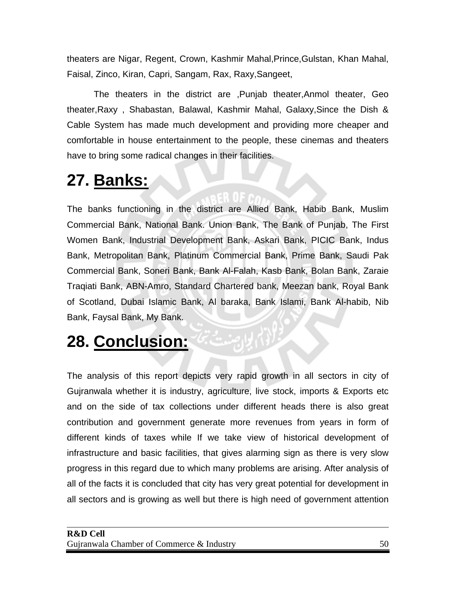theaters are Nigar, Regent, Crown, Kashmir Mahal,Prince,Gulstan, Khan Mahal, Faisal, Zinco, Kiran, Capri, Sangam, Rax, Raxy,Sangeet,

The theaters in the district are ,Punjab theater,Anmol theater, Geo theater,Raxy , Shabastan, Balawal, Kashmir Mahal, Galaxy,Since the Dish & Cable System has made much development and providing more cheaper and comfortable in house entertainment to the people, these cinemas and theaters have to bring some radical changes in their facilities.

### **27. Banks:**

The banks functioning in the district are Allied Bank, Habib Bank, Muslim Commercial Bank, National Bank. Union Bank, The Bank of Punjab, The First Women Bank, Industrial Development Bank, Askari Bank, PICIC Bank, Indus Bank, Metropolitan Bank, Platinum Commercial Bank, Prime Bank, Saudi Pak Commercial Bank, Soneri Bank, Bank Al-Falah, Kasb Bank, Bolan Bank, Zaraie Traqiati Bank, ABN-Amro, Standard Chartered bank, Meezan bank, Royal Bank of Scotland, Dubai Islamic Bank, Al baraka, Bank Islami, Bank Al-habib, Nib Bank, Faysal Bank, My Bank.

### **28. Conclusion:**

The analysis of this report depicts very rapid growth in all sectors in city of Gujranwala whether it is industry, agriculture, live stock, imports & Exports etc and on the side of tax collections under different heads there is also great contribution and government generate more revenues from years in form of different kinds of taxes while If we take view of historical development of infrastructure and basic facilities, that gives alarming sign as there is very slow progress in this regard due to which many problems are arising. After analysis of all of the facts it is concluded that city has very great potential for development in all sectors and is growing as well but there is high need of government attention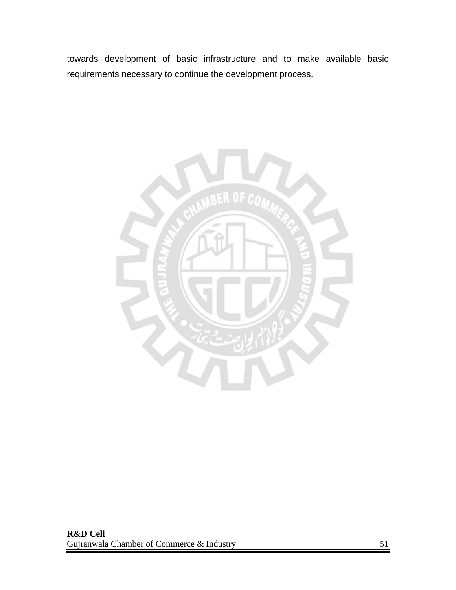towards development of basic infrastructure and to make available basic requirements necessary to continue the development process.